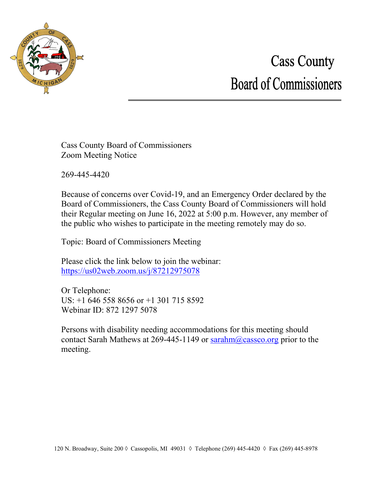

# **Cass County Board of Commissioners**

Cass County Board of Commissioners Zoom Meeting Notice

269-445-4420

Because of concerns over Covid-19, and an Emergency Order declared by the Board of Commissioners, the Cass County Board of Commissioners will hold their Regular meeting on June 16, 2022 at 5:00 p.m. However, any member of the public who wishes to participate in the meeting remotely may do so.

Topic: Board of Commissioners Meeting

Please click the link below to join the webinar: <https://us02web.zoom.us/j/87212975078>

Or Telephone: US: +1 646 558 8656 or +1 301 715 8592 Webinar ID: 872 1297 5078

Persons with disability needing accommodations for this meeting should contact Sarah Mathews at 269-445-1149 or  $\text{sarahn}(Q \text{cases} \text{c} \text{or} g \text{ prior to the}$ meeting.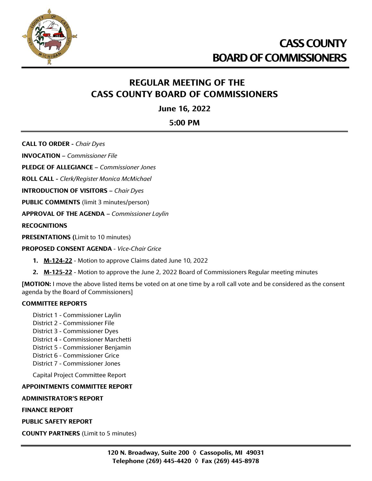

## **CASS COUNTY BOARD OF COMMISSIONERS**

## **REGULAR MEETING OF THE CASS COUNTY BOARD OF COMMISSIONERS**

**June 16, 2022**

**5:00 PM**

**CALL TO ORDER -** *Chair Dyes*

**INVOCATION –** *Commissioner File*

**PLEDGE OF ALLEGIANCE –** *Commissioner Jones*

**ROLL CALL -** *Clerk/Register Monica McMichael*

**INTRODUCTION OF VISITORS –** *Chair Dyes*

**PUBLIC COMMENTS** (limit 3 minutes/person)

**APPROVAL OF THE AGENDA –** *Commissioner Laylin*

**RECOGNITIONS**

**PRESENTATIONS (**Limit to 10 minutes)

#### **PROPOSED CONSENT AGENDA** - *Vice-Chair Grice*

- **1. M-124-22** Motion to approve Claims dated June 10, 2022
- **2. M-125-22** Motion to approve the June 2, 2022 Board of Commissioners Regular meeting minutes

**[MOTION:** I move the above listed items be voted on at one time by a roll call vote and be considered as the consent agenda by the Board of Commissioners]

#### **COMMITTEE REPORTS**

- District 1 Commissioner Laylin
- District 2 Commissioner File
- District 3 Commissioner Dyes
- District 4 Commissioner Marchetti
- District 5 Commissioner Benjamin
- District 6 Commissioner Grice
- District 7 Commissioner Jones

Capital Project Committee Report

## **APPOINTMENTS COMMITTEE REPORT**

#### **ADMINISTRATOR'S REPORT**

**FINANCE REPORT**

**PUBLIC SAFETY REPORT**

**COUNTY PARTNERS** (Limit to 5 minutes)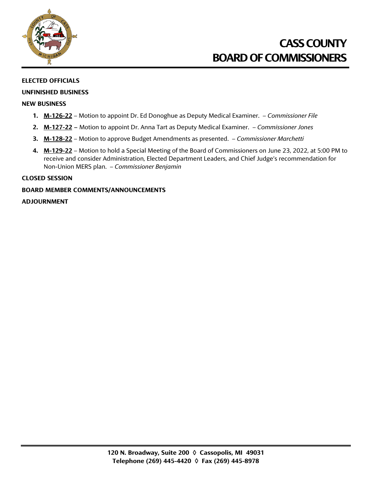

## **CASS COUNTY BOARD OF COMMISSIONERS**

#### **ELECTED OFFICIALS**

#### **UNFINISHED BUSINESS**

#### **NEW BUSINESS**

- **1. M-126-22** Motion to appoint Dr. Ed Donoghue as Deputy Medical Examiner. *Commissioner File*
- **2. M-127-22 –** Motion to appoint Dr. Anna Tart as Deputy Medical Examiner. *Commissioner Jones*
- **3. M-128-22** Motion to approve Budget Amendments as presented. *Commissioner Marchetti*
- **4. M-129-22** Motion to hold a Special Meeting of the Board of Commissioners on June 23, 2022, at 5:00 PM to receive and consider Administration, Elected Department Leaders, and Chief Judge's recommendation for Non-Union MERS plan. – *Commissioner Benjamin*

#### **CLOSED SESSION**

#### **BOARD MEMBER COMMENTS/ANNOUNCEMENTS**

#### **ADJOURNMENT**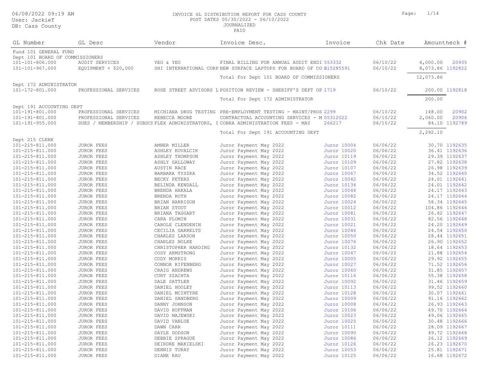#### 06/08/2022 09:19 AM INVOICE GL DISTRIBUTION REPORT FOR CASS COUNTY Page: 1/14 POST DATES 05/30/2022 - 06/10/2022 JOURNALIZED

| GL Number                       | GL Desc               | Vendor              | Invoice Desc.                                                                     | Invoice     | Chk Date |                  | Amountheck #   |
|---------------------------------|-----------------------|---------------------|-----------------------------------------------------------------------------------|-------------|----------|------------------|----------------|
| Fund 101 GENERAL FUND           |                       |                     |                                                                                   |             |          |                  |                |
| Dept 101 BOARD OF COMMISSIONERS |                       |                     |                                                                                   |             |          |                  |                |
| 101-101-806.000                 | AUDIT SERVICES        | YEO & YEO           | FINAL BILLING FOR ANNUAL AUDIT ENDI 553332                                        |             | 06/10/22 | 4,000.00         | 20935          |
| 101-101-967.000                 | EQUIPMENT < $$20,000$ |                     | SHI INTERNATIONAL CORP NEW SURFACE LAPTOPS FOR BOARD OF CO B15285591              |             | 06/10/22 | 8,073.86 1192822 |                |
|                                 |                       |                     | Total For Dept 101 BOARD OF COMMISSIONERS                                         |             |          | 12,073.86        |                |
| Dept 172 ADMINISTRATOR          |                       |                     |                                                                                   |             |          |                  |                |
| 101-172-801.000                 | PROFESSIONAL SERVICES |                     | ROSE STREET ADVISORS L POSITION REVIEW - SHERIFF'S DEPT OP.1719                   |             | 06/10/22 |                  | 200.00 1192818 |
|                                 |                       |                     | Total For Dept 172 ADMINISTRATOR                                                  |             |          | 200.00           |                |
| Dept 191 ACCOUNTING DEPT        |                       |                     |                                                                                   |             |          |                  |                |
| 101-191-801.000                 | PROFESSIONAL SERVICES |                     | MICHIANA DRUG TESTING PRE-EMPLOYMENT TESTING - MAINT/PROS 2299                    |             | 06/10/22 | 148.00           | 20902          |
| 101-191-801.000                 | PROFESSIONAL SERVICES | REBECCA MOORE       | CONTRACTUAL ACCOUNTING SERVICES - M.05312022                                      |             | 06/10/22 | 2,060.00         | 20906          |
| 101-191-955.000                 |                       |                     | DUES / MEMBERSHIP / SUBSCF FLEX ADMINISTRATORS, I COBRA ADMINISTRATION FEES - MAY | 266217      | 06/10/22 |                  | 84.10 1192789  |
|                                 |                       |                     | Total For Dept 191 ACCOUNTING DEPT                                                |             |          | 2,292.10         |                |
| Dept 215 CLERK                  |                       |                     |                                                                                   |             |          |                  |                |
| 101-215-811.000                 | JUROR FEES            | AMBER MILLER        | Juror Payment May 2022                                                            | Juror 10004 | 06/06/22 |                  | 30.70 1192635  |
| 101-215-811.000                 | JUROR FEES            | ASHLEY KOVALCIK     | Juror Payment May 2022                                                            | Juror 10020 | 06/06/22 |                  | 36.41 1192636  |
| 101-215-811.000                 | <b>JUROR FEES</b>     | ASHLEY THOMPSON     | Juror Payment May 2022                                                            | Juror 10119 | 06/06/22 |                  | 29.39 1192637  |
| 101-215-811.000                 | JUROR FEES            | ASHLY GALLOWAY      | Juror Payment May 2022                                                            | Juror 10109 | 06/06/22 |                  | 27.82 1192638  |
| 101-215-811.000                 | JUROR FEES            | AUSTIN RACE         | Juror Payment May 2022                                                            | Juror 10107 | 06/06/22 |                  | 26.98 1192639  |
| 101-215-811.000                 | JUROR FEES            | BARBARA TYSZKA      | Juror Payment May 2022                                                            | Juror 10067 | 06/06/22 |                  | 34.52 1192640  |
| 101-215-811.000                 | JUROR FEES            | BECKY PETERS        | Juror Payment May 2022                                                            | Juror 10042 | 06/06/22 |                  | 24.01 1192641  |
| 101-215-811.000                 | JUROR FEES            | BELINDA KENDALL     | Juror Payment May 2022                                                            | Juror 10134 | 06/06/22 |                  | 24.01 1192642  |
| 101-215-811.000                 | JUROR FEES            | BRENDA HAKALA       | Juror Payment May 2022                                                            | Juror 10044 | 06/06/22 |                  | 24.17 1192643  |
| 101-215-811.000                 | JUROR FEES            | BRENDA ROTH         | Juror Payment May 2022                                                            | Juror 10082 | 06/06/22 |                  | 24.17 1192644  |
| 101-215-811.000                 | JUROR FEES            | BRIAN HARRISON      | Juror Payment May 2022                                                            | Juror 10024 | 06/06/22 |                  | 58.34 1192645  |
| 101-215-811.000                 | JUROR FEES            | BRIAN STOUT         | Juror Payment May 2022                                                            | Juror 10012 | 06/06/22 |                  | 104.86 1192646 |
| 101-215-811.000                 | JUROR FEES            | BRIANA TAGGART      | Juror Payment May 2022                                                            | Juror 10081 | 06/06/22 |                  | 26.42 1192647  |
| 101-215-811.000                 | JUROR FEES            | CARA PLOMIN         | Juror Payment May 2022                                                            | Juror 10031 | 06/06/22 |                  | 82.56 1192648  |
| 101-215-811.000                 | JUROR FEES            | CAROLE CLENDENIN    | Juror Payment May 2022                                                            | Juror 10021 | 06/06/22 |                  | 24.20 1192649  |
| 101-215-811.000                 | JUROR FEES            | CECILIA GARRELTS    | Juror Payment May 2022                                                            | Juror 10046 | 06/06/22 |                  | 24.54 1192650  |
| 101-215-811.000                 | <b>JUROR FEES</b>     | CHARLES LARSON      | Juror Payment May 2022                                                            | Juror 10050 | 06/06/22 |                  | 28.44 1192651  |
| 101-215-811.000                 | JUROR FEES            | CHARLES NOLKE       | Juror Payment May 2022                                                            | Juror 10076 | 06/06/22 |                  | 26.90 1192652  |
| 101-215-811.000                 | JUROR FEES            | CHRISTOPHER HARDING | Juror Payment May 2022                                                            | Juror 10132 | 06/06/22 |                  | 18.64 1192653  |
| 101-215-811.000                 | JUROR FEES            | CODY ARMSTRONG      | Juror Payment May 2022                                                            | Juror 10047 | 06/06/22 |                  | 21.88 1192654  |
| 101-215-811.000                 | JUROR FEES            | CODY MORRIS         | Juror Payment May 2022                                                            | Juror 10005 | 06/06/22 |                  | 29.92 1192655  |
| 101-215-811.000                 | JUROR FEES            | CONNOR RIFENBERG    | Juror Payment May 2022                                                            | Juror 10027 | 06/06/22 |                  | 71.52 1192656  |
| 101-215-811.000                 | JUROR FEES            | CRAIG ANDREWS       | Juror Payment May 2022                                                            | Juror 10060 | 06/06/22 |                  | 31.85 1192657  |
| 101-215-811.000                 | JUROR FEES            | CURT SZACHTA        | Juror Payment May 2022                                                            | Juror 10116 | 06/06/22 |                  | 55.38 1192658  |
| 101-215-811.000                 | JUROR FEES            | DALE SATTLER        | Juror Payment May 2022                                                            | Juror 10092 | 06/06/22 |                  | 31.46 1192659  |
| 101-215-811.000                 | JUROR FEES            | DANIEL HOOLEY       | Juror Payment May 2022                                                            | Juror 10113 | 06/06/22 |                  | 99.52 1192660  |
| 101-215-811.000                 | JUROR FEES            | DANIEL MCINTYRE     | Juror Payment May 2022                                                            | Juror 10128 | 06/06/22 |                  | 30.07 1192661  |
| 101-215-811.000                 | JUROR FEES            | DANIEL SANDBERG     | Juror Payment May 2022                                                            | Juror 10009 | 06/06/22 |                  | 91.16 1192662  |
| 101-215-811.000                 | JUROR FEES            | DANNY JOHNSON       | Juror Payment May 2022                                                            | Juror 10008 | 06/06/22 |                  | 26.93 1192663  |
| 101-215-811.000                 | <b>JUROR FEES</b>     | DAVID HOFFMAN       | Juror Payment May 2022                                                            | Juror 10106 | 06/06/22 |                  | 69.70 1192664  |
| 101-215-811.000                 | JUROR FEES            | DAVID MAJEWSKI      | Juror Payment May 2022                                                            | Juror 10023 | 06/06/22 |                  | 49.06 1192665  |
| 101-215-811.000                 | JUROR FEES            | DAVID VANLUE        | Juror Payment May 2022                                                            | Juror 10025 | 06/06/22 |                  | 30.48 1192666  |
| 101-215-811.000                 | JUROR FEES            | DAWN CARR           | Juror Payment May 2022                                                            | Juror 10111 | 06/06/22 |                  | 28.09 1192667  |
| 101-215-811.000                 | JUROR FEES            | DAYLE DODSON        | Juror Payment May 2022                                                            | Juror 10090 | 06/06/22 |                  | 49.72 1192668  |
| 101-215-811.000                 | JUROR FEES            | DEBBIE SPRAGUE      | Juror Payment May 2022                                                            | Juror 10086 | 06/06/22 |                  | 26.12 1192669  |
| 101-215-811.000                 | JUROR FEES            | DEIRDRE MAKIELSKI   | Juror Payment May 2022                                                            | Juror 10126 | 06/06/22 |                  | 26.23 1192670  |
| 101-215-811.000                 | JUROR FEES            | DENNIS TURAY        | Juror Payment May 2022                                                            | Juror 10053 | 06/06/22 |                  | 25.81 1192671  |
| 101-215-811.000                 | JUROR FEES            | DIANE RAU           | Juror Payment May 2022                                                            | Juror 10125 | 06/06/22 |                  | 16.68 1192672  |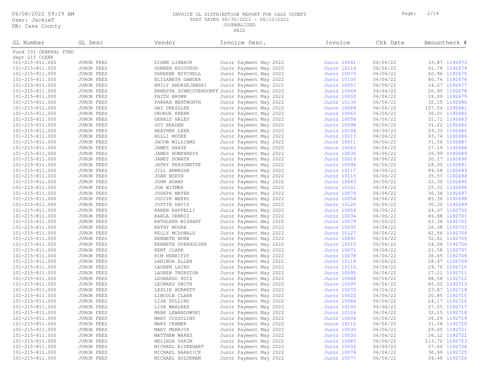06/08/2022 09:19 AM INVOICE GL DISTRIBUTION REPORT FOR CASS COUNTY Page: 2/14 POST DATES 05/30/2022 - 06/10/2022 JOURNALIZED

| GL Number                               | GL Desc                         | Vendor                             | Invoice Desc.                                 | Invoice                    | Chk Date             | Amountheck #   |
|-----------------------------------------|---------------------------------|------------------------------------|-----------------------------------------------|----------------------------|----------------------|----------------|
| Fund 101 GENERAL FUND<br>Dept 215 CLERK |                                 |                                    |                                               |                            |                      |                |
| 101-215-811.000                         | <b>JUROR FEES</b>               | DIANN LINBACK                      | Juror Payment May 2022                        | Juror 10041                | 06/06/22             | 33.87 1192673  |
| 101-215-811.000                         | JUROR FEES                      | DOREEN ESCOVEDO                    | Juror Payment May 2022                        | Juror 10114                | 06/06/22             | 61.78 1192674  |
| 101-215-811.000                         | JUROR FEES                      | DOREENE MITCHELL                   | Juror Payment May 2022                        | Juror 10073                | 06/06/22             | 40.96 1192675  |
| 101-215-811.000                         | <b>JUROR FEES</b>               | ELIZABETH GANGER                   | Juror Payment May 2022                        | Juror 10105                | 06/06/22             | 80.76 1192676  |
| 101-215-811.000                         | <b>JUROR FEES</b>               | EMILY ANDRZEJEWSKI                 | Juror Payment May 2022                        | Juror 10057                | 06/06/22             | 24.27 1192677  |
| 101-215-811.000                         | <b>JUROR FEES</b>               |                                    | ERNESTA SCHMIDTENDORFF Juror Payment May 2022 | Juror 10069                | 06/06/22             | 20.90 1192678  |
| 101-215-811.000                         | <b>JUROR FEES</b>               | FAITH BROWN                        | Juror Payment May 2022                        | Juror 10003                | 06/06/22             | 28.09 1192679  |
| 101-215-811.000                         | <b>JUROR FEES</b>               | FARRAH WENTWORTH                   | Juror Payment May 2022                        | Juror 10130                | 06/06/22             | 32.15 1192680  |
| 101-215-811.000                         | <b>JUROR FEES</b>               | GAY DRESSLER                       | Juror Payment May 2022                        | Juror 10084                | 06/06/22             | 107.54 1192681 |
| 101-215-811.000                         | <b>JUROR FEES</b>               | GEORGE KRENK                       | Juror Payment May 2022                        | Juror 10062                | 06/06/22             | 36.01 1192682  |
| 101-215-811.000                         | JUROR FEES                      | GERALD HALEY                       | Juror Payment May 2022                        | Juror 10058                | 06/06/22             | 31.71 1192683  |
| 101-215-811.000                         | JUROR FEES                      | GUY BRADEN                         | Juror Payment May 2022                        | Juror 10098                | 06/06/22             | 31.22 1192684  |
| 101-215-811.000                         | <b>JUROR FEES</b>               | HEATHER LEER                       | Juror Payment May 2022                        | Juror 10104                | 06/06/22             | 29.33 1192685  |
| 101-215-811.000                         | JUROR FEES                      | HOLLI MOORE                        | Juror Payment May 2022                        | Juror 10013                | 06/06/22             | 93.74 1192686  |
| 101-215-811.000                         | JUROR FEES                      | JACOB WILLIAMS                     | Juror Payment May 2022                        | Juror 10011                | 06/06/22             | 31.56 1192687  |
| 101-215-811.000                         | JUROR FEES                      | JAMES HAASE                        | Juror Payment May 2022                        | Juror 10063                | 06/06/22             | 27.19 1192688  |
| 101-215-811.000                         | <b>JUROR FEES</b>               | JAMES HUMPHREYS                    | Juror Payment May 2022                        | Juror 10036                | 06/06/22             | 26.99 1192689  |
| 101-215-811.000                         | <b>JUROR FEES</b>               | JANET DONATH                       | Juror Payment May 2022                        | Juror 10010                | 06/06/22             | 30.17 1192690  |
| 101-215-811.000                         | JUROR FEES                      | JEFRY PERSONETTE                   | Juror Payment May 2022                        | Juror 10094                | 06/06/22             | 28.35 1192691  |
| 101-215-811.000                         | JUROR FEES                      | JILL AMBROSE                       | Juror Payment May 2022                        | Juror 10117                | 06/06/22             | 89.58 1192693  |
| 101-215-811.000                         | <b>JUROR FEES</b>               | JOAN NORTH                         | Juror Payment May 2022                        | Juror 10115                | 06/06/22             | 35.53 1192694  |
| 101-215-811.000                         | JUROR FEES                      | JOHN ADAMS                         | Juror Payment May 2022                        | Juror 10043                | 06/06/22             | 22.30 1192695  |
| 101-215-811.000                         | JUROR FEES                      | JON WITMER                         | Juror Payment May 2022                        | Juror 10101                | 06/06/22             | 25.31 1192696  |
| 101-215-811.000                         | JUROR FEES                      | JOSEPH MATER                       | Juror Payment May 2022                        | Juror 10070                | 06/06/22             | 36.38 1192697  |
| 101-215-811.000                         | <b>JUROR FEES</b>               | JUDITH WEEKS                       | Juror Payment May 2022                        | Juror 10054                | 06/06/22             | 85.30 1192698  |
| 101-215-811.000                         | JUROR FEES                      | <b>JUSTIN DAVIS</b>                | Juror Payment May 2022                        | Juror 10120                | 06/06/22             | 30.30 1192699  |
| 101-215-811.000                         | JUROR FEES                      | KAREN RAPPELLI                     | Juror Payment May 2022                        | Juror 10059                | 06/06/22             | 24.37 1192700  |
| 101-215-811.000                         | <b>JUROR FEES</b>               | KARLA DENNIS                       | Juror Payment May 2022                        | Juror 10034                | 06/06/22             | 86.88 1192701  |
| 101-215-811.000                         | JUROR FEES                      | KATHLEEN WISHART                   | Juror Payment May 2022                        | Juror 10079                | 06/06/22             | 63.36 1192702  |
| 101-215-811.000                         | JUROR FEES                      | KATHY MOORE                        | Juror Payment May 2022                        | Juror 10035                | 06/06/22             | 26.38 1192703  |
| 101-215-811.000                         |                                 |                                    |                                               |                            | 06/06/22             | 62.56 1192704  |
| 101-215-811.000                         | JUROR FEES                      | KELLY MCDONALD                     | Juror Payment May 2022                        | Juror 10127                | 06/06/22             | 32.41 1192705  |
| 101-215-811.000                         | JUROR FEES<br><b>JUROR FEES</b> | KENNETH BOHN<br>KENNETH OVERHOLSER | Juror Payment May 2022                        | Juror 10091                | 06/06/22             | 24.06 1192706  |
| 101-215-811.000                         | JUROR FEES                      | KENT CLARK                         | Juror Payment May 2022                        | Juror 10015<br>Juror 10071 | 06/06/22             | 21.58 1192707  |
| 101-215-811.000                         | JUROR FEES                      | KIM HENRITZY                       | Juror Payment May 2022                        | Juror 10078                | 06/06/22             | 36.65 1192708  |
| 101-215-811.000                         |                                 |                                    | Juror Payment May 2022                        |                            | 06/06/22             | 28.47 1192709  |
| 101-215-811.000                         | JUROR FEES                      | LARINDA ALLEN                      | Juror Payment May 2022                        | Juror 10118                | 06/06/22             | 29.70 1192710  |
|                                         | JUROR FEES                      | LAUREN LAIRD                       | Juror Payment May 2022                        | Juror 10110                |                      | 27.21 1192711  |
| 101-215-811.000                         | <b>JUROR FEES</b>               | LAUREN THURSTON                    | Juror Payment May 2022                        | Juror 10095                | 06/06/22<br>06/06/22 | 88.58 1192712  |
| 101-215-811.000                         | <b>JUROR FEES</b>               | LEOBARDO RUIZ                      | Juror Payment May 2022                        | Juror 10048                | 06/06/22             |                |
| 101-215-811.000                         | JUROR FEES                      | LEONARD SMITH                      | Juror Payment May 2022                        | Juror 10097                | 06/06/22             | 85.02 1192713  |
| 101-215-811.000                         | JUROR FEES                      | LESLIE BURKETT                     | Juror Payment May 2022                        | Juror 10072                |                      | 23.87 1192714  |
| 101-215-811.000                         | JUROR FEES                      | LINCOLN CLARK                      | Juror Payment May 2022                        | Juror 10022                | 06/06/22             | 20.85 1192715  |
| 101-215-811.000                         | <b>JUROR FEES</b>               | LISA PULLING                       | Juror Payment May 2022                        | Juror 10066                | 06/06/22             | 24.17 1192716  |
| 101-215-811.000                         | JUROR FEES                      | LISA WAALKES                       | Juror Payment May 2022                        | Juror 10100                | 06/06/22             | 27.05 1192717  |
| 101-215-811.000                         | JUROR FEES                      | MARK LEWANDOWSKI                   | Juror Payment May 2022                        | Juror 10124                | 06/06/22             | 32.15 1192718  |
| 101-215-811.000                         | JUROR FEES                      | MARY COZZOLINO                     | Juror Payment May 2022                        | Juror 10006                | 06/06/22             | 26.29 1192719  |
| 101-215-811.000                         | <b>JUROR FEES</b>               | MARY CRAMER                        | Juror Payment May 2022                        | Juror 10112                | 06/06/22             | 31.58 1192720  |
| 101-215-811.000                         | JUROR FEES                      | MARY MERRICK                       | Juror Payment May 2022                        | Juror 10030                | 06/06/22             | 29.05 1192721  |
| 101-215-811.000                         | <b>JUROR FEES</b>               | MATTHEW WARES                      | Juror Payment May 2022                        | Juror 10033                | 06/06/22             | 26.12 1192722  |
| 101-215-811.000                         | JUROR FEES                      | MELINDA YAKIM                      | Juror Payment May 2022                        | Juror 10083                | 06/06/22             | 113.70 1192723 |
| 101-215-811.000                         | JUROR FEES                      | MICHAEL EISENHART                  | Juror Payment May 2022                        | Juror 10002                | 06/06/22             | 27.60 1192724  |
| 101-215-811.000                         | JUROR FEES                      | MICHAEL HARASICK                   | Juror Payment May 2022                        | Juror 10074                | 06/06/22             | 30.99 1192725  |
| 101-215-811.000                         | JUROR FEES                      | MICHAEL HOLDEMAN                   | Juror Payment May 2022                        | Juror 10077                | 06/06/22             | 34.48 1192726  |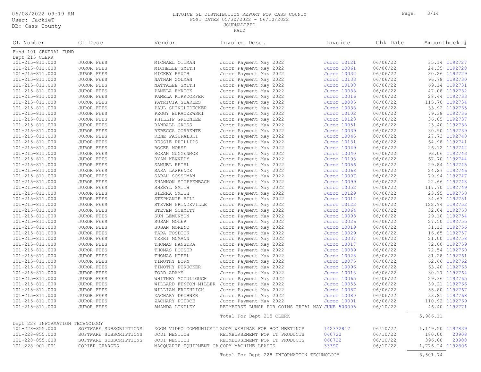#### 06/08/2022 09:19 AM INVOICE GL DISTRIBUTION REPORT FOR CASS COUNTY Page: 3/14 POST DATES 05/30/2022 - 06/10/2022 JOURNALIZED

PAID

| GL Number                               | GL Desc                | Vendor                                     | Invoice Desc.                                        | Invoice                    | Chk Date | Amountheck #     |
|-----------------------------------------|------------------------|--------------------------------------------|------------------------------------------------------|----------------------------|----------|------------------|
| Fund 101 GENERAL FUND<br>Dept 215 CLERK |                        |                                            |                                                      |                            |          |                  |
| 101-215-811.000                         | <b>JUROR FEES</b>      | MICHAEL OTTMAN                             | Juror Payment May 2022                               | Juror 10121                | 06/06/22 | 35.14 1192727    |
| 101-215-811.000                         | <b>JUROR FEES</b>      | MICHELLE SMITH                             | Juror Payment May 2022                               | Juror 10061                | 06/06/22 | 24.35 1192728    |
| 101-215-811.000                         | JUROR FEES             | MICKEY RAUCH                               | Juror Payment May 2022                               | Juror 10032                | 06/06/22 | 80.26 1192729    |
| 101-215-811.000                         | <b>JUROR FEES</b>      | NATHAN ZOLMAN                              | Juror Payment May 2022                               | Juror 10133                | 06/06/22 | 96.78 1192730    |
| 101-215-811.000                         | JUROR FEES             | NATTALEE SMITH                             | Juror Payment May 2022                               | Juror 10108                | 06/06/22 | 69.14 1192731    |
| 101-215-811.000                         | JUROR FEES             | PAMELA EMRICK                              | Juror Payment May 2022                               | Juror 10088                | 06/06/22 | 47.08 1192732    |
| 101-215-811.000                         | JUROR FEES             | PAMELA KIRKDORFER                          | Juror Payment May 2022                               | Juror 10016                | 06/06/22 | 28.44 1192733    |
| 101-215-811.000                         | JUROR FEES             | PATRICIA SEARLES                           | Juror Payment May 2022                               | Juror 10085                | 06/06/22 | 115.70 1192734   |
| 101-215-811.000                         | JUROR FEES             | PAUL SHINGLEDECKER                         | Juror Payment May 2022                               | Juror 10038                | 06/06/22 | 33.92 1192735    |
| 101-215-811.000                         | JUROR FEES             | PEGGY BURACZEWSKI                          | Juror Payment May 2022                               | Juror 10102                | 06/06/22 | 79.38 1192736    |
| 101-215-811.000                         | JUROR FEES             | PHILLIP GREENLEE                           | Juror Payment May 2022                               | Juror 10123                | 06/06/22 | 36.05 1192737    |
| 101-215-811.000                         | <b>JUROR FEES</b>      | RANDALL GROSS                              | Juror Payment May 2022                               | Juror 10051                | 06/06/22 | 23.40 1192738    |
| 101-215-811.000                         | JUROR FEES             | REBECCA CORRENTE                           | Juror Payment May 2022                               | Juror 10039                | 06/06/22 | 30.90 1192739    |
| 101-215-811.000                         | <b>JUROR FEES</b>      | RENE PATURALSKI                            | Juror Payment May 2022                               | Juror 10045                | 06/06/22 | 27.73 1192740    |
| 101-215-811.000                         | JUROR FEES             | RESSIE PHILLIPS                            | Juror Payment May 2022                               | Juror 10131                | 06/06/22 | 64.98 1192741    |
| 101-215-811.000                         | JUROR FEES             | ROGER MORSE                                | Juror Payment May 2022                               | Juror 10049                | 06/06/22 | 26.12 1192742    |
| 101-215-811.000                         | JUROR FEES             | ROXAN GUGGENMOS                            | Juror Payment May 2022                               | Juror 10040                | 06/06/22 | 93.06 1192743    |
| 101-215-811.000                         | JUROR FEES             | RYAN KENNEDY                               |                                                      | Juror 10103                | 06/06/22 | 67.70 1192744    |
|                                         |                        |                                            | Juror Payment May 2022                               | Juror 10056                | 06/06/22 | 29.84 1192745    |
| 101-215-811.000                         | JUROR FEES             | SAMUEL REIHL                               | Juror Payment May 2022                               |                            | 06/06/22 | 24.27 1192746    |
| 101-215-811.000<br>101-215-811.000      | JUROR FEES             | SARA LAWRENCE                              | Juror Payment May 2022                               | Juror 10068<br>Juror 10007 | 06/06/22 | 79.94 1192747    |
|                                         | <b>JUROR FEES</b>      | SARAH SOSSOMAN                             | Juror Payment May 2022                               |                            |          | 22.66 1192748    |
| 101-215-811.000                         | JUROR FEES             | SHANNON STOPPENBACH                        | Juror Payment May 2022                               | Juror 10099                | 06/06/22 |                  |
| 101-215-811.000                         | <b>JUROR FEES</b>      | SHERYL SMITH                               | Juror Payment May 2022                               | Juror 10052                | 06/06/22 | 117.70 1192749   |
| 101-215-811.000                         | <b>JUROR FEES</b>      | SIERRA SMITH                               | Juror Payment May 2022                               | Juror 10129                | 06/06/22 | 23.95 1192750    |
| 101-215-811.000                         | JUROR FEES             | STEPHANIE HILL                             | Juror Payment May 2022                               | Juror 10014                | 06/06/22 | 34.63 1192751    |
| 101-215-811.000                         | <b>JUROR FEES</b>      | STEVEN PRINDEVILLE                         | Juror Payment May 2022                               | Juror 10122                | 06/06/22 | 122.94 1192752   |
| 101-215-811.000                         | JUROR FEES             | STEVEN SCHMITT                             | Juror Payment May 2022                               | Juror 10064                | 06/06/22 | 32.04 1192753    |
| 101-215-811.000                         | JUROR FEES             | SUN LEMUNYON                               | Juror Payment May 2022                               | Juror 10093                | 06/06/22 | 29.10 1192754    |
| 101-215-811.000                         | <b>JUROR FEES</b>      | SUSAN MOLER                                | Juror Payment May 2022                               | Juror 10026                | 06/06/22 | 27.50 1192755    |
| 101-215-811.000                         | JUROR FEES             | SUSAN MORENO                               | Juror Payment May 2022                               | Juror 10019                | 06/06/22 | 31.13 1192756    |
| 101-215-811.000                         | JUROR FEES             | TARA FOSDICK                               | Juror Payment May 2022                               | Juror 10029                | 06/06/22 | 16.65 1192757    |
| 101-215-811.000                         | JUROR FEES             | TERRI MCMANN                               | Juror Payment May 2022                               | Juror 10037                | 06/06/22 | 21.00 1192758    |
| 101-215-811.000                         | JUROR FEES             | THOMAS HANSTRA                             | Juror Payment May 2022                               | Juror 10017                | 06/06/22 | 72.00 1192759    |
| 101-215-811.000                         | <b>JUROR FEES</b>      | THOMAS HOUSER                              | Juror Payment May 2022                               | Juror 10089                | 06/06/22 | 72.54 1192760    |
| 101-215-811.000                         | JUROR FEES             | THOMAS KIEHL                               | Juror Payment May 2022                               | Juror 10028                | 06/06/22 | 81.28 1192761    |
| 101-215-811.000                         | JUROR FEES             | TIMOTHY BORN                               | Juror Payment May 2022                               | Juror 10075                | 06/06/22 | 62.66 1192762    |
| 101-215-811.000                         | JUROR FEES             | TIMOTHY PURUCKER                           | Juror Payment May 2022                               | Juror 10096                | 06/06/22 | 63.40 1192763    |
| 101-215-811.000                         | <b>JUROR FEES</b>      | TODD ADAMS                                 | Juror Payment May 2022                               | Juror 10018                | 06/06/22 | 30.17 1192764    |
| 101-215-811.000                         | <b>JUROR FEES</b>      | WHITNEY MCCULLOUGH                         | Juror Payment May 2022                               | Juror 10065                | 06/06/22 | 29.36 1192765    |
| 101-215-811.000                         | JUROR FEES             | WILLARD FENTON-MILLER                      | Juror Payment May 2022                               | Juror 10055                | 06/06/22 | 39.21 1192766    |
| 101-215-811.000                         | <b>JUROR FEES</b>      | WILLIAM FROEHLICH                          | Juror Payment May 2022                               | Juror 10087                | 06/06/22 | 55.80 1192767    |
| 101-215-811.000                         | JUROR FEES             | ZACHARY DEUBNER                            | Juror Payment May 2022                               | Juror 10080                | 06/06/22 | 33.81 1192768    |
| 101-215-811.000                         | JUROR FEES             | ZACHARY PIERCE                             | Juror Payment May 2022                               | Juror 10001                | 06/06/22 | 110.92 1192769   |
| 101-215-811.000                         | <b>JUROR FEES</b>      | AMANDA LINDLEY                             | REIMBURSE LUNCH FOR GOINS TRIAL MAY JUNE 500005      |                            | 06/10/22 | 46.40 1192771    |
|                                         |                        |                                            | Total For Dept 215 CLERK                             |                            |          | 5,986.11         |
| Dept 228 INFORMATION TECHNOLOGY         |                        |                                            |                                                      |                            |          |                  |
| 101-228-855.000                         | SOFTWARE SUBSCRIPTIONS |                                            | ZOOM VIDEO COMMUNICATI ZOOM WEBINAR FOR BOC MEETINGS | 142332817                  | 06/10/22 | 1,149.50 1192839 |
| $101 - 228 - 855.000$                   | SOFTWARE SUBSCRIPTIONS | JODI NESTICH                               | REIMBURSEMENT FOR IT PRODUCTS                        | 060722                     | 06/10/22 | 180.00<br>20908  |
| $101 - 228 - 855.000$                   | SOFTWARE SUBSCRIPTIONS | JODI NESTICH                               | REIMBURSEMENT FOR IT PRODUCTS                        | 060722                     | 06/10/22 | 20908<br>396.00  |
| 101-228-901.001                         | COPIER CHARGES         | MACQUARIE EQUIPMENT CA COPY MACHINE LEASES |                                                      | 33390                      | 06/10/22 | 1,776.24 1192806 |

Total For Dept 228 INFORMATION TECHNOLOGY 3,501.74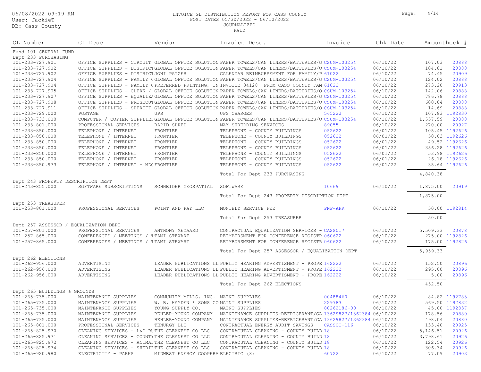#### 06/08/2022 09:19 AM INVOICE GL DISTRIBUTION REPORT FOR CASS COUNTY Page: 4/14 POST DATES 05/30/2022 - 06/10/2022

JOURNALIZED

| GL Number                             | GL Desc                                       | Vendor                                | Invoice Desc.                                                                                     | Invoice     | Chk Date |          | Amountheck #   |
|---------------------------------------|-----------------------------------------------|---------------------------------------|---------------------------------------------------------------------------------------------------|-------------|----------|----------|----------------|
| Fund 101 GENERAL FUND                 |                                               |                                       |                                                                                                   |             |          |          |                |
| Dept 233 PURCHASING                   |                                               |                                       |                                                                                                   |             |          |          |                |
| 101-233-727.901                       |                                               |                                       | OFFICE SUPPLIES - CIRCUIT GLOBAL OFFICE SOLUTION PAPER TOWELS/CAN LINERS/BATTERIES/O CSUM-103254  |             | 06/10/22 | 107.03   | 20888          |
| 101-233-727.902                       |                                               |                                       | OFFICE SUPPLIES - DISTRICIGLOBAL OFFICE SOLUTION PAPER TOWELS/CAN LINERS/BATTERIES/O CSUM-103254  |             | 06/10/22 | 104.81   | 20888          |
| 101-233-727.902                       | OFFICE SUPPLIES - DISTRICT JONI PATZER        |                                       | CALENDAR REIMBURSEMENT FOR FAMILY/P 61022                                                         |             | 06/10/22 | 74.45    | 20909          |
| 101-233-727.904                       |                                               |                                       | OFFICE SUPPLIES - FAMILY (GLOBAL OFFICE SOLUTION PAPER TOWELS/CAN LINERS/BATTERIES/O CSUM-103254  |             | 06/10/22 | 124.02   | 20888          |
| 101-233-727.904                       |                                               |                                       | OFFICE SUPPLIES - FAMILY (PREFERRED PRINTING, IN INVOICE 34128 FROM CASS COUNTY FAM 61022         |             | 06/10/22 | 273.20   | 20913          |
| 101-233-727.905                       |                                               |                                       | OFFICE SUPPLIES - CLERK / GLOBAL OFFICE SOLUTION PAPER TOWELS/CAN LINERS/BATTERIES/O CSUM-103254  |             | 06/10/22 | 142.06   | 20888          |
| 101-233-727.907                       |                                               |                                       | OFFICE SUPPLIES - EQUALIZIGLOBAL OFFICE SOLUTION PAPER TOWELS/CAN LINERS/BATTERIES/O CSUM-103254  |             | 06/10/22 | 786.78   | 20888          |
| 101-233-727.908                       |                                               |                                       | OFFICE SUPPLIES - PROSECUIGLOBAL OFFICE SOLUTION PAPER TOWELS/CAN LINERS/BATTERIES/O CSUM-103254  |             | 06/10/22 | 600.84   | 20888          |
| 101-233-727.911                       |                                               |                                       | OFFICE SUPPLIES - SHERIFF GLOBAL OFFICE SOLUTION PAPER TOWELS/CAN LINERS/BATTERIES/O CSUM-103254  |             | 06/10/22 | 14.69    | 20888          |
| 101-233-729.000                       | POSTAGE                                       | UPS                                   | UPS CHARGES                                                                                       | 565222      | 06/10/22 |          | 107.83 1192830 |
| 101-233-733.000                       |                                               |                                       | COMPUTER / COPIER SUPPLIES GLOBAL OFFICE SOLUTION PAPER TOWELS/CAN LINERS/BATTERIES/O CSUM-103254 |             | 06/10/22 | 1,557.59 | 20888          |
| 101-233-801.000                       | PROFESSIONAL SERVICES                         | RAPID SHRED                           | MAY SHREDDING SERVICES                                                                            | 89055       | 06/10/22 | 270.00   | 20927          |
| 101-233-850.000                       | TELEPHONE / INTERNET                          | FRONTIER                              | TELEPHONE - COUNTY BUILDINGS                                                                      | 052622      | 06/01/22 |          | 105.45 1192626 |
| 101-233-850.000                       | TELEPHONE / INTERNET                          | FRONTIER                              | TELEPHONE - COUNTY BUILDINGS                                                                      | 052622      | 06/01/22 |          | 50.03 1192626  |
| 101-233-850.000                       | TELEPHONE / INTERNET                          | FRONTIER                              | TELEPHONE - COUNTY BUILDINGS                                                                      | 052622      | 06/01/22 |          | 49.52 1192626  |
| 101-233-850.000                       | TELEPHONE / INTERNET                          | FRONTIER                              | TELEPHONE - COUNTY BUILDINGS                                                                      | 052622      | 06/01/22 |          | 356.28 1192626 |
| 101-233-850.000                       | TELEPHONE / INTERNET                          | FRONTIER                              | TELEPHONE - COUNTY BUILDINGS                                                                      | 052622      | 06/01/22 |          | 53.98 1192626  |
| 101-233-850.000                       | TELEPHONE / INTERNET                          | FRONTIER                              | TELEPHONE - COUNTY BUILDINGS                                                                      | 052622      | 06/01/22 |          | 26.18 1192626  |
| 101-233-850.973                       | TELEPHONE / INTERNET - MDC FRONTIER           |                                       | TELEPHONE - COUNTY BUILDINGS                                                                      | 052622      | 06/01/22 |          | 35.64 1192626  |
|                                       |                                               |                                       | Total For Dept 233 PURCHASING                                                                     |             |          | 4,840.38 |                |
| Dept 243 PROPERTY DESCRIPTION DEPT    |                                               |                                       |                                                                                                   |             |          |          |                |
| $101 - 243 - 855.000$                 | SOFTWARE SUBSCRIPTIONS                        | SCHNEIDER GEOSPATIAL                  | SOFTWARE                                                                                          | 10669       | 06/10/22 | 1,875.00 | 20919          |
|                                       |                                               |                                       | Total For Dept 243 PROPERTY DESCRIPTION DEPT                                                      |             |          | 1,875.00 |                |
| Dept 253 TREASURER                    |                                               |                                       |                                                                                                   |             |          |          |                |
| 101-253-801.000                       | PROFESSIONAL SERVICES                         | POINT AND PAY LLC                     | MONTHLY SERVICE FEE                                                                               | PNP-APR     | 06/10/22 |          | 50.00 1192814  |
|                                       |                                               |                                       | Total For Dept 253 TREASURER                                                                      |             |          | 50.00    |                |
| Dept 257 ASSESSOR / EQUALIZATION DEPT |                                               |                                       |                                                                                                   |             |          |          |                |
| 101-257-801.000                       | PROFESSIONAL SERVICES                         | ANTHONY MEYAARD                       | CONTRACTUAL EQUALIZATION SERVICES - CASS017                                                       |             | 06/10/22 | 5,509.33 | 20878          |
| 101-257-865.000                       | CONFERENCES / MEETINGS / TTAMI STEWART        |                                       | REIMBURSMENT FOR CONFERENCE REGISTR 060622                                                        |             | 06/10/22 |          | 275.00 1192826 |
| 101-257-865.000                       | CONFERENCES / MEETINGS / TTAMI STEWART        |                                       | REIMBURSMENT FOR CONFERENCE REGISTR 060622                                                        |             | 06/10/22 |          | 175.00 1192826 |
|                                       |                                               |                                       | Total For Dept 257 ASSESSOR / EQUALIZATION DEPT                                                   |             |          | 5,959.33 |                |
| Dept 262 ELECTIONS                    |                                               |                                       |                                                                                                   |             |          |          |                |
| 101-262-956.000                       | ADVERTISING                                   |                                       | LEADER PUBLICATIONS LL PUBLIC HEARING ADVERTISMENT - PROPE 162222                                 |             | 06/10/22 | 152.50   | 20896          |
| $101 - 262 - 956.000$                 | ADVERTISING                                   |                                       | LEADER PUBLICATIONS LL PUBLIC HEARING ADVERTISMENT - PROPE 162222                                 |             | 06/10/22 | 295.00   | 20896          |
| $101 - 262 - 956.000$                 | ADVERTISING                                   |                                       | LEADER PUBLICATIONS LL PUBLIC HEARING ADVERTISMENT - PROPE 162222                                 |             | 06/10/22 | 5.00     | 20896          |
|                                       |                                               |                                       | Total For Dept 262 ELECTIONS                                                                      |             |          | 452.50   |                |
| Dept 265 BUILDINGS & GROUNDS          |                                               |                                       |                                                                                                   |             |          |          |                |
| 101-265-735.000                       | MAINTENANCE SUPPLIES                          | COMMUNITY MILLS, INC. MAINT SUPPLIES  |                                                                                                   | 00488460    | 06/10/22 |          | 84.82 1192783  |
| 101-265-735.000                       | MAINTENANCE SUPPLIES                          | W. B. HAYDEN & SONS CO MAINT SUPPLIES |                                                                                                   | 229783      | 06/10/22 |          | 569.50 1192832 |
| 101-265-735.000                       |                                               | YOUNG SUPPLY CO.                      |                                                                                                   | 80262186-00 | 06/10/22 |          | 45.00 1192837  |
|                                       | MAINTENANCE SUPPLIES                          |                                       | MAINT SUPPLIES                                                                                    |             |          |          |                |
| 101-265-735.000                       | MAINTENANCE SUPPLIES                          | BEHLER-YOUNG COMPANY                  | MAINTENANCE SUPPLIES-REFRIGERANT/GA 13629827/1362384:06/10/22                                     |             |          | 178.56   | 20880          |
| 101-265-735.000                       | MAINTENANCE SUPPLIES                          | BEHLER-YOUNG COMPANY                  | MAINTENANCE SUPPLIES-REFRIGERANT/GA 13629827/1362384(06/10/22                                     |             |          | 498.04   | 20880          |
| 101-265-801.000                       | PROFESSIONAL SERVICES                         | TENURGY LLC                           | CONTRACTUAL ENERGY AUDIT SAVINGS                                                                  | CASSCO-116  | 06/10/22 | 133.40   | 20925          |
| 101-265-825.970                       | CLEANING SERVICES - L&C BUTHE CLEANEST CO LLC |                                       | CONTRACUTAL CLEANING - COUNTY BUILD 18                                                            |             | 06/10/22 | 5,146.51 | 20926          |
| 101-265-825.971                       | CLEANING SERVICES - COUNTITHE CLEANEST CO LLC |                                       | CONTRACUTAL CLEANING - COUNTY BUILD 18                                                            |             | 06/10/22 | 3,798.61 | 20926          |
| 101-265-825.972                       | CLEANING SERVICES - ANIMAITHE CLEANEST CO LLC |                                       | CONTRACUTAL CLEANING - COUNTY BUILD 18                                                            |             | 06/10/22 | 122.54   | 20926          |
| 101-265-825.974                       | CLEANING SERVICES - SHERIFTHE CLEANEST CO LLC |                                       | CONTRACUTAL CLEANING - COUNTY BUILD 18                                                            |             | 06/10/22 | 306.34   | 20926          |
| 101-265-920.980                       | ELECTRICITY - PARKS                           | MIDWEST ENERGY COOPERA ELECTRIC (8)   |                                                                                                   | 60722       | 06/10/22 | 77.09    | 20903          |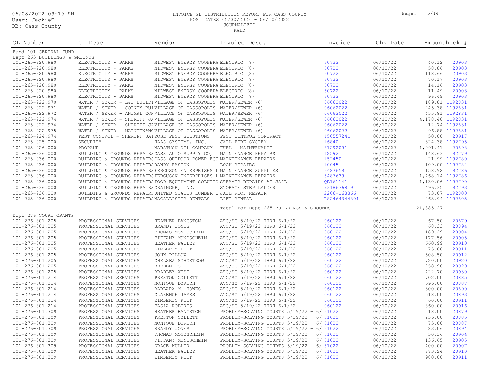#### 06/08/2022 09:19 AM INVOICE GL DISTRIBUTION REPORT FOR CASS COUNTY Page: 5/14 POST DATES 05/30/2022 - 06/10/2022 JOURNALIZED

| GL Number                    | GL Desc                                                               | Vendor                                                                 | Invoice Desc.                                                             | Invoice      | Chk Date |                  | Amountheck #   |
|------------------------------|-----------------------------------------------------------------------|------------------------------------------------------------------------|---------------------------------------------------------------------------|--------------|----------|------------------|----------------|
| Fund 101 GENERAL FUND        |                                                                       |                                                                        |                                                                           |              |          |                  |                |
| Dept 265 BUILDINGS & GROUNDS |                                                                       |                                                                        |                                                                           |              |          |                  |                |
| 101-265-920.980              | ELECTRICITY - PARKS                                                   | MIDWEST ENERGY COOPERA ELECTRIC (8)                                    |                                                                           | 60722        | 06/10/22 | 40.12            | 20903          |
| 101-265-920.980              | ELECTRICITY - PARKS                                                   | MIDWEST ENERGY COOPERA ELECTRIC (8)                                    |                                                                           | 60722        | 06/10/22 | 58.86            | 20903          |
| 101-265-920.980              | ELECTRICITY - PARKS                                                   | MIDWEST ENERGY COOPERA ELECTRIC (8)                                    |                                                                           | 60722        | 06/10/22 | 118.66           | 20903          |
| 101-265-920.980              | ELECTRICITY - PARKS                                                   | MIDWEST ENERGY COOPERA ELECTRIC (8)                                    |                                                                           | 60722        | 06/10/22 | 70.17            | 20903          |
| 101-265-920.980              | ELECTRICITY - PARKS                                                   | MIDWEST ENERGY COOPERA ELECTRIC (8)                                    |                                                                           | 60722        | 06/10/22 | 14.16            | 20903          |
| 101-265-920.980              | ELECTRICITY - PARKS                                                   | MIDWEST ENERGY COOPERA ELECTRIC (8)                                    |                                                                           | 60722        | 06/10/22 | 11.49            | 20903          |
| 101-265-920.980              | ELECTRICITY - PARKS                                                   | MIDWEST ENERGY COOPERA ELECTRIC (8)                                    |                                                                           | 60722        | 06/10/22 | 96.49            | 20903          |
| 101-265-922.970              | WATER / SEWER - L&C BUILDIVILLAGE OF CASSOPOLIS WATER/SEWER (6)       |                                                                        |                                                                           | 06062022     | 06/10/22 |                  | 189.81 1192831 |
| 101-265-922.971              | WATER / SEWER - COUNTY BUIVILLAGE OF CASSOPOLIS WATER/SEWER (6)       |                                                                        |                                                                           | 06062022     | 06/10/22 |                  | 245.38 1192831 |
| 101-265-922.972              | WATER / SEWER - ANIMAL CONVILLAGE OF CASSOPOLIS WATER/SEWER (6)       |                                                                        |                                                                           | 06062022     | 06/10/22 |                  | 455.81 1192831 |
| 101-265-922.974              | WATER / SEWER - SHERIFF JIVILLAGE OF CASSOPOLIS WATER/SEWER (6)       |                                                                        |                                                                           | 06062022     | 06/10/22 | 4,178.40 1192831 |                |
| 101-265-922.974              | WATER / SEWER - SHERIFF JIVILLAGE OF CASSOPOLIS WATER/SEWER (6)       |                                                                        |                                                                           | 06062022     | 06/10/22 |                  | 12.74 1192831  |
| 101-265-922.975              | WATER / SEWER - MAINTENAN(VILLAGE OF CASSOPOLIS WATER/SEWER (6)       |                                                                        |                                                                           | 06062022     | 06/10/22 |                  | 96.88 1192831  |
| 101-265-924.974              | PEST CONTROL - SHERIFF JAIROSE PEST SOLUTIONS                         |                                                                        | PEST CONTROL CONTRACT                                                     | 150557241    | 06/10/22 | 50.00            | 20917          |
| $101 - 265 - 925.000$        | SECURITY                                                              | HAAS SYSTEMS, INC.                                                     | JAIL FIRE SYSTEM                                                          | 16840        | 06/10/22 |                  | 324.38 1192795 |
| 101-265-926.000              | PROPANE                                                               | MARATHON OIL COMPANY FUEL - MAINTENANCE                                |                                                                           | 81292091     | 06/10/22 | 1,091.41         | 20898          |
| 101-265-936.000              | BUILDING & GROUNDS REPAIRS CASS AUTO SUPPLY CO, I MAINTENANCE REPAIRS |                                                                        |                                                                           | 125921       | 06/10/22 |                  | 148.63 1192779 |
| 101-265-936.000              |                                                                       | BUILDING & GROUNDS REPAIRS CASS OUTDOOR POWER EQUIMAINTENANCE REPAIRS  |                                                                           | 152450       | 06/10/22 |                  | 21.99 1192780  |
| 101-265-936.000              | BUILDING & GROUNDS REPAIRS RANDY EASTON                               |                                                                        | LOCK REPAIRS                                                              | 10045        | 06/10/22 |                  | 109.00 1192784 |
| 101-265-936.000              |                                                                       | BUILDING & GROUNDS REPAIRS FERGUSON ENTERPRISES L MAINTENANCE SUPPLIES |                                                                           | 6487659      | 06/10/22 |                  | 158.92 1192786 |
| 101-265-936.000              | BUILDING & GROUNDS REPAIRS FERGUSON ENTERPRISES L MAINTENANCE REPAIRS |                                                                        |                                                                           | 6487639      | 06/10/22 | 1,468.14 1192786 |                |
| 101-265-936.000              |                                                                       |                                                                        | BUILDING & GROUNDS REPAIRS FOOD EQUIPMENT SOLUTIO STEAMER REPAIRS AT JAIL | QB161141     | 06/10/22 | 1,130.06 1192790 |                |
| 101-265-936.000              | BUILDING & GROUNDS REPAIRS GRAINGER, INC.                             |                                                                        | STORAGE STEP LADDER                                                       | 9318636819   | 06/10/22 |                  | 496.35 1192793 |
| 101-265-936.000              | BUILDING & GROUNDS REPAIRSUNITED STATES LUMBER C JAIL ROOF REPAIR     |                                                                        |                                                                           | 2206-168866  | 06/10/22 |                  | 73.07 1192800  |
| 101-265-936.000              | BUILDING & GROUNDS REPAIRS MACALLISTER RENTALS                        |                                                                        | LIFT RENTAL                                                               | R82464344801 | 06/10/22 |                  | 263.94 1192805 |
|                              |                                                                       |                                                                        |                                                                           |              |          |                  |                |
|                              |                                                                       |                                                                        | Total For Dept 265 BUILDINGS & GROUNDS                                    |              |          | 21,885.27        |                |
| Dept 276 COURT GRANTS        |                                                                       |                                                                        |                                                                           |              |          |                  |                |
| 101-276-801.205              | PROFESSIONAL SERVICES                                                 | HEATHER BANGSTON                                                       | ATC/SC 5/19/22 THRU 6/1/22                                                | 060122       | 06/10/22 | 67.50            | 20879          |
| 101-276-801.205              | PROFESSIONAL SERVICES                                                 | BRANDY JONES                                                           | ATC/SC 5/19/22 THRU 6/1/22                                                | 060122       | 06/10/22 | 68.33            | 20894          |
| 101-276-801.205              | PROFESSIONAL SERVICES                                                 | THOMAS MONDSCHEIN                                                      | ATC/SC 5/19/22 THRU 6/1/22                                                | 060122       | 06/10/22 | 189.29           | 20904          |
| 101-276-801.205              | PROFESSIONAL SERVICES                                                 | TIFFANY MONDSCHEIN                                                     | ATC/SC 5/19/22 THRU 6/1/22                                                | 060122       | 06/10/22 | 177.56           | 20905          |
| 101-276-801.205              | PROFESSIONAL SERVICES                                                 | HEATHER PAULEY                                                         | ATC/SC 5/19/22 THRU 6/1/22                                                | 060122       | 06/10/22 | 660.99           | 20910          |
| 101-276-801.205              | PROFESSIONAL SERVICES                                                 | KIMBERLY PEET                                                          | ATC/SC 5/19/22 THRU 6/1/22                                                | 060122       | 06/10/22 | 75.00            | 20911          |
| 101-276-801.205              | PROFESSIONAL SERVICES                                                 | JOHN PILLOW                                                            | ATC/SC 5/19/22 THRU 6/1/22                                                | 060122       | 06/10/22 | 508.50           | 20912          |
| 101-276-801.205              | PROFESSIONAL SERVICES                                                 | CHELSEA SCHOETZOW                                                      | ATC/SC 5/19/22 THRU 6/1/22                                                | 060122       | 06/10/22 | 720.00           | 20920          |
| 101-276-801.205              | PROFESSIONAL SERVICES                                                 | REDDEN TODD                                                            | ATC/SC 5/19/22 THRU 6/1/22                                                | 060122       | 06/10/22 | 258.98           | 20929          |
| 101-276-801.205              | PROFESSIONAL SERVICES                                                 | BRADLEY WEST                                                           | ATC/SC 5/19/22 THRU 6/1/22                                                | 060122       | 06/10/22 | 422.70           | 20930          |
| 101-276-801.214              | PROFESSIONAL SERVICES                                                 | PRESTON COLLETT                                                        | ATC/SC 5/19/22 THRU 6/1/22                                                | 060122       | 06/10/22 | 702.00           | 20885          |
| 101-276-801.214              | PROFESSIONAL SERVICES                                                 | MONIQUE DORTCH                                                         | ATC/SC 5/19/22 THRU 6/1/22                                                | 060122       | 06/10/22 | 696.00           | 20887          |
| 101-276-801.214              | PROFESSIONAL SERVICES                                                 | BARBARA M. HOWES                                                       | ATC/SC 5/19/22 THRU 6/1/22                                                | 060122       | 06/10/22 | 300.00           | 20890          |
| 101-276-801.214              | PROFESSIONAL SERVICES                                                 | CLARENCE JAMES                                                         | ATC/SC 5/19/22 THRU 6/1/22                                                | 060122       | 06/10/22 | 518.00           | 20893          |
| 101-276-801.214              | PROFESSIONAL SERVICES                                                 | KIMBERLY PEET                                                          | ATC/SC 5/19/22 THRU 6/1/22                                                | 060122       | 06/10/22 | 60.00            | 20911          |
| 101-276-801.214              | PROFESSIONAL SERVICES                                                 | TASIA ROBERTS                                                          | ATC/SC 5/19/22 THRU 6/1/22                                                | 060122       | 06/10/22 | 860.00           | 20916          |
| 101-276-801.309              | PROFESSIONAL SERVICES                                                 | HEATHER BANGSTON                                                       | PROBLEM-SOLVING COURTS $5/19/22 - 6/61022$                                |              | 06/10/22 | 18.00            | 20879          |
| 101-276-801.309              | PROFESSIONAL SERVICES                                                 | PRESTON COLLETT                                                        | PROBLEM-SOLVING COURTS $5/19/22 - 6/61022$                                |              | 06/10/22 | 236.00           | 20885          |
| 101-276-801.309              | PROFESSIONAL SERVICES                                                 | MONIQUE DORTCH                                                         | PROBLEM-SOLVING COURTS $5/19/22 - 6/61022$                                |              | 06/10/22 | 75.00            | 20887          |
| 101-276-801.309              | PROFESSIONAL SERVICES                                                 | BRANDY JONES                                                           | PROBLEM-SOLVING COURTS $5/19/22 - 6/61022$                                |              | 06/10/22 | 83.06            | 20894          |
| 101-276-801.309              | PROFESSIONAL SERVICES                                                 | THOMAS MONDSCHEIN                                                      | PROBLEM-SOLVING COURTS $5/19/22 - 6/61022$                                |              | 06/10/22 | 30.36            | 20904          |
| 101-276-801.309              | PROFESSIONAL SERVICES                                                 | TIFFANY MONDSCHEIN                                                     | PROBLEM-SOLVING COURTS $5/19/22 - 6/61022$                                |              | 06/10/22 | 136.65           | 20905          |
| 101-276-801.309              | PROFESSIONAL SERVICES                                                 | GRACE MULLER                                                           | PROBLEM-SOLVING COURTS $5/19/22 - 6/61022$                                |              | 06/10/22 | 400.00           | 20907          |
| 101-276-801.309              | PROFESSIONAL SERVICES                                                 | HEATHER PAULEY                                                         | PROBLEM-SOLVING COURTS $5/19/22 - 6/61022$                                |              | 06/10/22 | 773.24           | 20910          |
| 101-276-801.309              | PROFESSIONAL SERVICES                                                 | KIMBERLY PEET                                                          | PROBLEM-SOLVING COURTS 5/19/22 - 6/ 61022                                 |              | 06/10/22 | 980.00           | 20911          |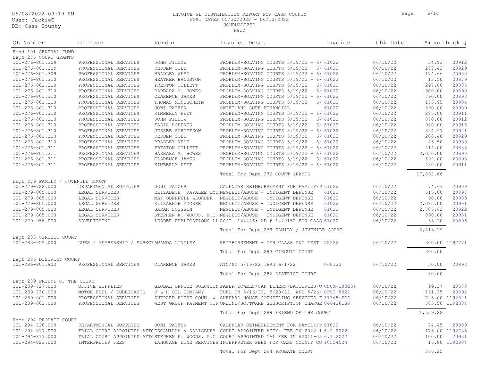#### 06/08/2022 09:19 AM **INVOICE GL DISTRIBUTION REPORT FOR CASS COUNTY P** POST DATES 05/30/2022 - 06/10/2022 JOURNALIZED

PAID

| Page: | 6/14 |  |
|-------|------|--|
|       |      |  |

| GL Number             | GL Desc               | Vendor            | Invoice Desc.                              | Invoice | Chk Date | Amountheck # |       |
|-----------------------|-----------------------|-------------------|--------------------------------------------|---------|----------|--------------|-------|
| Fund 101 GENERAL FUND |                       |                   |                                            |         |          |              |       |
| Dept 276 COURT GRANTS |                       |                   |                                            |         |          |              |       |
| 101-276-801.309       | PROFESSIONAL SERVICES | JOHN PILLOW       | PROBLEM-SOLVING COURTS $5/19/22 - 6/61022$ |         | 06/10/22 | 54.93        | 20912 |
| 101-276-801.309       | PROFESSIONAL SERVICES | REDDEN TODD       | PROBLEM-SOLVING COURTS $5/19/22 - 6/61022$ |         | 06/10/22 | 277.43       | 20929 |
| 101-276-801.309       | PROFESSIONAL SERVICES | BRADLEY WEST      | PROBLEM-SOLVING COURTS $5/19/22 - 6/61022$ |         | 06/10/22 | 174.66       | 20930 |
| 101-276-801.310       | PROFESSIONAL SERVICES | HEATHER BANGSTON  | PROBLEM-SOLVING COURTS $5/19/22 - 6/61022$ |         | 06/10/22 | 13.50        | 20879 |
| 101-276-801.310       | PROFESSIONAL SERVICES | PRESTON COLLETT   | PROBLEM-SOLVING COURTS $5/19/22 - 6/61022$ |         | 06/10/22 | 297.00       | 20885 |
| 101-276-801.310       | PROFESSIONAL SERVICES | BARBARA M. HOWES  | PROBLEM-SOLVING COURTS $5/19/22 - 6/61022$ |         | 06/10/22 | 300.00       | 20890 |
| 101-276-801.310       | PROFESSIONAL SERVICES | CLARENCE JAMES    | PROBLEM-SOLVING COURTS $5/19/22 - 6/61022$ |         | 06/10/22 | 790.00       | 20893 |
| 101-276-801.310       | PROFESSIONAL SERVICES | THOMAS MONDSCHEIN | PROBLEM-SOLVING COURTS $5/19/22 - 6/61022$ |         | 06/10/22 | 175.95       | 20904 |
| 101-276-801.310       | PROFESSIONAL SERVICES | JONI PATZER       | SWIFT AND SURE FINANCIAL                   | 61022   | 06/10/22 | 390.00       | 20909 |
| 101-276-801.310       | PROFESSIONAL SERVICES | KIMBERLY PEET     | PROBLEM-SOLVING COURTS $5/19/22 - 6/61022$ |         | 06/10/22 | 285.00       | 20911 |
| 101-276-801.310       | PROFESSIONAL SERVICES | JOHN PILLOW       | PROBLEM-SOLVING COURTS $5/19/22 - 6/61022$ |         | 06/10/22 | 870.08       | 20912 |
| 101-276-801.310       | PROFESSIONAL SERVICES | TASIA ROBERTS     | PROBLEM-SOLVING COURTS $5/19/22 - 6/61022$ |         | 06/10/22 | 940.00       | 20916 |
| 101-276-801.310       | PROFESSIONAL SERVICES | JESSEE SCHOETZOW  | PROBLEM-SOLVING COURTS $5/19/22 - 6/61022$ |         | 06/10/22 | 524.97       | 20921 |
| 101-276-801.310       | PROFESSIONAL SERVICES | REDDEN TODD       | PROBLEM-SOLVING COURTS $5/19/22 - 6/61022$ |         | 06/10/22 | 200.48       | 20929 |
| 101-276-801.310       | PROFESSIONAL SERVICES | BRADLEY WEST      | PROBLEM-SOLVING COURTS $5/19/22 - 6/61022$ |         | 06/10/22 | 45.50        | 20930 |
| 101-276-801.311       | PROFESSIONAL SERVICES | PRESTON COLLETT   | PROBLEM-SOLVING COURTS $5/19/22 - 6/61022$ |         | 06/10/22 | 414.00       | 20885 |
| 101-276-801.311       | PROFESSIONAL SERVICES | BARBARA M. HOWES  | PROBLEM-SOLVING COURTS $5/19/22 - 6/61022$ |         | 06/10/22 | 2,050.00     | 20890 |

Total For Dept 276 COURT GRANTS 17,892.66

| Dept 279 FAMILY / JUVENILE COURT |                         |                       |                                                                                               |        |          |                |                |
|----------------------------------|-------------------------|-----------------------|-----------------------------------------------------------------------------------------------|--------|----------|----------------|----------------|
| 101-279-728.000                  | DEPARTMENTAL SUPPLIES   | JONI PATZER           | CALENDAR REIMBURSEMENT FOR FAMILY/P 61022                                                     |        | 06/10/22 | 74.47          | 20909          |
| 101-279-805.000                  | LEGAL SERVICES          |                       | ELIZABETH RAPALEE LYO NEGLECT/ABUSE - INDIGENT DEFENSE                                        | 61022  | 06/10/22 | 515.00         | 20897          |
| 101-279-805.000                  | LEGAL SERVICES          | MAY OBERFELL & LORBER | NEGLECT/ABUSE - INDIGENT DEFENSE                                                              | 61022  | 06/10/22 | 90.00          | 20900          |
| 101-279-805.000                  | LEGAL SERVICES          | ELIZABETH MCCREE      | NEGLECT/ABUSE - INDIGENT DEFENSE                                                              | 61022  | 06/10/22 | 2,085.00       | 20901          |
| 101-279-805.000                  | LEGAL SERVICES          | SARAH SCOGGIN         | NEGLECT/ABUSE - INDIGENT DEFENSE                                                              | 61022  | 06/10/22 | 2,705.62       | 20922          |
| 101-279-805.000                  | LEGAL SERVICES          |                       | STEPHEN K. WOODS. P.C. NEGLECT/ABUSE - INDIGENT DEFENSE                                       | 61022  | 06/10/22 | 890.00         | 20931          |
| $101 - 279 - 956.000$            | ADVERTISING             |                       | LEADER PUBLICATIONS LL ACCT. 144446; AD # 1449152 FOR CASS 61022                              |        | 06/10/22 | 53.10          | 20896          |
|                                  |                         |                       | Total For Dept 279 FAMILY / JUVENILE COURT                                                    |        |          | 6,413.19       |                |
| Dept 283 CIRCUIT COURT           |                         |                       |                                                                                               |        |          |                |                |
| $101 - 283 - 955.000$            | MEMBERSHIP /<br>DUES    | SUBSCF AMANDA LINDLEY | REIMBURSEMENT - CER CLASS AND TEST 52522                                                      |        | 06/10/22 |                | 300.00 1192771 |
|                                  |                         |                       | Total For Dept 283 CIRCUIT COURT                                                              |        |          | 300.00         |                |
| Dept 286 DISTRICT COURT          |                         |                       |                                                                                               |        |          |                |                |
| 101-286-801.902                  | PROFESSIONAL SERVICES   | CLARENCE JAMES        | ATC/SC 5/19/22 THRU 6/1/22                                                                    | 060122 | 06/10/22 | 50.00          | 20893          |
|                                  |                         |                       | Total For Dept 286 DISTRICT COURT                                                             |        |          | 50.00          |                |
| Dept 289 FRIEND OF THE COURT     |                         |                       |                                                                                               |        |          |                |                |
| 101-289-727.000                  | OFFICE SUPPLIES         |                       | GLOBAL OFFICE SOLUTION PAPER TOWELS/CAN LINERS/BATTERIES/O CSUM-103254                        |        | 06/10/22 | 99.37          | 20888          |
| 101-289-730.000                  | MOTOR FUEL / LUBRICANTS | J & H OIL COMPANY     | FUEL ON 5/16/22, 5/20/22, AND 5/26/8CFSI-8921                                                 |        | 06/10/22 | 151.35         | 20892          |
| 101-289-801.000                  | PROFESSIONAL SERVICES   |                       | SHEPARD HOUSE COUN. & SHEPARD HOUSE COUNSELING SERVICES F 11365-FOC                           |        | 06/10/22 | 725.00 1192821 |                |
| 101-289-801.000                  | PROFESSIONAL SERVICES   |                       | WEST GROUP PAYMENT CTRONLINE/SOFTWARE SUBSCRIPTION CHARGE 846436189                           |        | 06/10/22 | 583.50 1192834 |                |
|                                  |                         |                       | Total For Dept 289 FRIEND OF THE COURT                                                        |        |          | 1,559.22       |                |
| Dept 294 PROBATE COURT           |                         |                       |                                                                                               |        |          |                |                |
| 101-294-728.000                  | DEPARTMENTAL SUPPLIES   | JONI PATZER           | CALENDAR REIMBURSEMENT FOR FAMILY/P 61022                                                     |        | 06/10/22 | 74.45          | 20909          |
| 101-294-817.000                  |                         |                       | TRIAL COURT APPOINTED ATT(ESCAMILLA & SALISBURY COURT APPOINTED ATTY. FEE IN 2022-1:6.2.2022  |        | 06/10/22 |                | 175.00 1192785 |
| 101-294-817.000                  |                         |                       | TRIAL COURT APPOINTED ATT(STEPHEN K. WOODS. P.C. COURT APPOINTED GAL FEE IN #2011-05 6.1.2022 |        | 06/10/22 | 100.00         | 20931          |
| $101 - 294 - 823.000$            | INTERPRETER FEES        |                       | LANGUAGE LINE SERVICES INTERPRETER FEES FOR CASS COUNTY CO 10554524                           |        | 06/10/22 |                | 16.80 1192804  |

101-276-801.311 PROFESSIONAL SERVICES CLARENCE JAMES PROBLEM-SOLVING COURTS 5/19/22 – 6/1/22 61022 06/10/22 592.00 20893 101-276-801.311 PROFESSIONAL SERVICES KIMBERLY PEET PROBLEM-SOLVING COURTS 5/19/22 – 6/1/22 61022 06/10/22 480.00 20911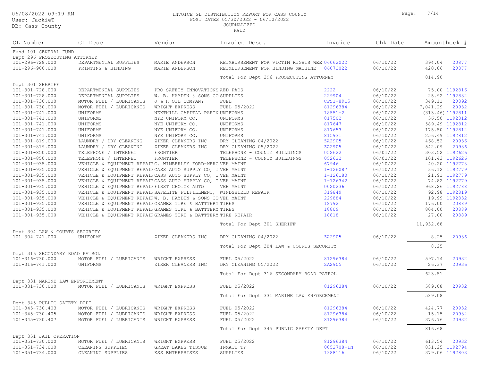DB: Cass County

#### 06/08/2022 09:19 AM **INVOICE GL DISTRIBUTION REPORT FOR CASS COUNTY** Page: 7/14 Page: 7/14 Page: 7/14 Page: 7/14 POST DATES 05/30/2022 - 06/10/2022 JOURNALIZED

PAID

| aqe: |  |  | 7/14 |
|------|--|--|------|
|      |  |  |      |

| GL Number                       | GL Desc                                                            | Vendor                          | Invoice Desc.                                | Invoice      | Chk Date |           | Amountheck #       |
|---------------------------------|--------------------------------------------------------------------|---------------------------------|----------------------------------------------|--------------|----------|-----------|--------------------|
| Fund 101 GENERAL FUND           |                                                                    |                                 |                                              |              |          |           |                    |
| Dept 296 PROSECUTING ATTORNEY   |                                                                    |                                 |                                              |              |          |           |                    |
| 101-296-728.000                 | DEPARTMENTAL SUPPLIES                                              | MARIE ANDERSON                  | REIMBURSEMENT FOR VICTIM RIGHTS WEE 06062022 |              | 06/10/22 | 394.04    | 20877              |
| 101-296-900.000                 | PRINTING & BINDING                                                 | MARIE ANDERSON                  | REIMBURSEMENT FOR BINDING MACHINE 06072022   |              | 06/10/22 | 420.86    | 20877              |
|                                 |                                                                    |                                 | Total For Dept 296 PROSECUTING ATTORNEY      |              |          | 814.90    |                    |
| Dept 301 SHERIFF                |                                                                    |                                 |                                              |              |          |           |                    |
| 101-301-728.000                 | DEPARTMENTAL SUPPLIES                                              | PRO SAFETY INNOVATIONS AED PADS |                                              | 2222         | 06/10/22 |           | 75.00 1192816      |
| 101-301-728.000                 | DEPARTMENTAL SUPPLIES                                              | W. B. HAYDEN & SONS CO SUPPLIES |                                              | 229904       | 06/10/22 |           | 25.92 1192832      |
| 101-301-730.000                 | MOTOR FUEL / LUBRICANTS                                            | J & H OIL COMPANY               | FUEL                                         | CFSI-8915    | 06/10/22 | 349.11    | 20892              |
| 101-301-730.000                 | MOTOR FUEL / LUBRICANTS                                            | WRIGHT EXPRESS                  | FUEL 05/2022                                 | 81296384     | 06/10/22 | 7,041.29  | 20932              |
| 101-301-741.000                 | UNIFORMS                                                           | NEXTHILL CAPITAL PARTN UNIFORMS |                                              | $18551 - 2$  | 06/10/22 |           | $(313.46)$ 1192811 |
| 101-301-741.000                 | UNIFORMS                                                           | NYE UNIFORM CO.                 | UNIFORMS                                     | 817502       | 06/10/22 |           | 56.50 1192812      |
| 101-301-741.000                 | UNIFORMS                                                           | NYE UNIFORM CO.                 | UNIFORMS                                     | 817647       | 06/10/22 |           | 589.49 1192812     |
| 101-301-741.000                 | UNIFORMS                                                           | NYE UNIFORM CO.                 | UNIFORMS                                     | 817653       | 06/10/22 |           | 175.50 1192812     |
| 101-301-741.000                 | UNIFORMS                                                           | NYE UNIFORM CO.                 | UNIFORMS                                     | 815931       | 06/10/22 |           | 256.49 1192812     |
| 101-301-819.000                 | LAUNDRY / DRY CLEANING                                             | ZIKER CLEANERS INC              | DRY CLEANING 04/2022                         | ZA2905       | 06/10/22 | 468.52    | 20936              |
| 101-301-819.000                 | LAUNDRY / DRY CLEANING                                             | ZIKER CLEANERS INC              | DRY CLEANING 05/2022                         | ZA2905       | 06/10/22 | 542.09    | 20936              |
| $101 - 301 - 850.000$           | TELEPHONE / INTERNET                                               | FRONTIER                        | TELEPHONE - COUNTY BUILDINGS                 | 052622       | 06/01/22 |           | 303.52 1192626     |
| $101 - 301 - 850.000$           | TELEPHONE / INTERNET                                               | FRONTIER                        | TELEPHONE - COUNTY BUILDINGS                 | 052622       | 06/01/22 |           | 101.43 1192626     |
| 101-301-935.000                 | VEHICLE & EQUIPMENT REPAIFC. WIMBERLEY FORD-MERC VEH MAINT         |                                 |                                              | 67946        | 06/10/22 |           | 40.20 1192778      |
| 101-301-935.000                 | VEHICLE & EQUIPMENT REPAIF CASS AUTO SUPPLY CO, I VEH MAINT        |                                 |                                              | $1 - 126087$ | 06/10/22 |           | 36.12 1192779      |
| 101-301-935.000                 | VEHICLE & EQUIPMENT REPAIF CASS AUTO SUPPLY CO, IVEH MAINT         |                                 |                                              | 1-126180     | 06/10/22 |           | 21.91 1192779      |
| 101-301-935.000                 | VEHICLE & EQUIPMENT REPAIF CASS AUTO SUPPLY CO, IVEH MAINT         |                                 |                                              | 1-126342     | 06/10/22 |           | 74.82 1192779      |
| $101 - 301 - 935.000$           | VEHICLE & EQUIPMENT REPAIF FIRST CHOICE AUTO                       |                                 | VEH MAINT                                    | 0020236      | 06/10/22 |           | 968.26 1192788     |
| 101-301-935.000                 | VEHICLE & EQUIPMENT REPAIF SAFELITE FULFILLMENT, WINDSHIELD REPAIR |                                 |                                              | 319849       | 06/10/22 |           | 92.98 1192819      |
| 101-301-935.000                 | VEHICLE & EQUIPMENT REPAIFW. B. HAYDEN & SONS COVEH MAINT          |                                 |                                              | 229884       | 06/10/22 |           | 19.99 1192832      |
| 101-301-935.000                 | VEHICLE & EQUIPMENT REPAIF GRAMES TIRE & BATTTERY TIRES            |                                 |                                              | 18792        | 06/10/22 | 176.00    | 20889              |
| 101-301-935.000                 | VEHICLE & EQUIPMENT REPAIF GRAMES TIRE & BATTTERY TIRES            |                                 |                                              | 18809        | 06/10/22 | 804.00    | 20889              |
| 101-301-935.000                 | VEHICLE & EOUIPMENT REPAIF GRAMES TIRE & BATTTERY TIRE REPAIR      |                                 |                                              | 18818        | 06/10/22 | 27.00     | 20889              |
|                                 |                                                                    |                                 | Total For Dept 301 SHERIFF                   |              |          | 11,932.68 |                    |
| Dept 304 LAW & COURTS SECURITY  |                                                                    |                                 |                                              |              |          |           |                    |
| $101 - 304 - 741.000$           | UNIFORMS                                                           | ZIKER CLEANERS INC              | DRY CLEANING 04/2022                         | ZA2905       | 06/10/22 | 8.25      | 20936              |
|                                 |                                                                    |                                 | Total For Dept 304 LAW & COURTS SECURITY     |              |          | 8.25      |                    |
| Dept 316 SECONDARY ROAD PATROL  |                                                                    |                                 |                                              |              |          |           |                    |
| 101-316-730.000                 | MOTOR FUEL / LUBRICANTS                                            | WRIGHT EXPRESS                  | FUEL 05/2022                                 | 81296384     | 06/10/22 | 597.14    | 20932              |
| 101-316-741.000                 | UNIFORMS                                                           | ZIKER CLEANERS INC              | DRY CLEANING 05/2022                         | ZA2905       | 06/10/22 | 26.37     | 20936              |
|                                 |                                                                    |                                 | Total For Dept 316 SECONDARY ROAD PATROL     |              |          | 623.51    |                    |
| Dept 331 MARINE LAW ENFORCEMENT |                                                                    |                                 |                                              |              |          |           |                    |
| 101-331-730.000                 | MOTOR FUEL / LUBRICANTS                                            | WRIGHT EXPRESS                  | FUEL 05/2022                                 | 81296384     | 06/10/22 | 589.08    | 20932              |
|                                 |                                                                    |                                 | Total For Dept 331 MARINE LAW ENFORCEMENT    |              |          | 589.08    |                    |
| Dept 345 PUBLIC SAFETY DEPT     |                                                                    |                                 |                                              |              |          |           |                    |
| 101-345-730.403                 | MOTOR FUEL / LUBRICANTS                                            | WRIGHT EXPRESS                  | FUEL 05/2022                                 | 81296384     | 06/10/22 | 424.77    | 20932              |

101-345-730.405 MOTOR FUEL / LUBRICANTS WRIGHT EXPRESS FUEL 05/2022 81296384 06/10/22 15.15 20932 10100 MOTOR FUEL / LUBRICANTS WRIGHT EXPRESS FUEL 05/2022 81296384 81296384 06/10/22 Total For Dept 345 PUBLIC SAFETY DEPT 816.68 Dept 351 JAIL OPERATION 101-351-730.000 MOTOR FUEL / LUBRICANTS WRIGHT EXPRESS FUEL 05/2022 81296384 06/10/22 613.54 20932 101-351-734.000 CLEANING SUPPLIES GREAT LAKES TISSUE INMATE TP 0052708-IN 06/10/22 831.25 1192794 101-31-351.000 CLEANING SUPPLIES KSS ENTERPRISES SUPPLIES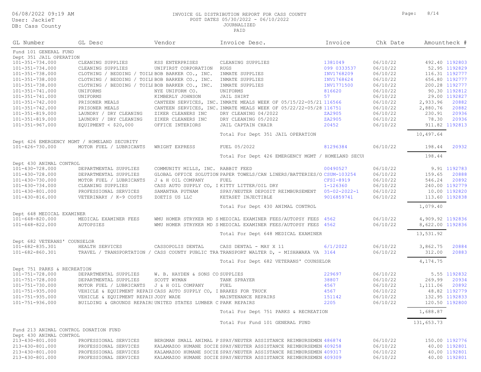06/08/2022 09:19 AM INVOICE GL DISTRIBUTION REPORT FOR CASS COUNTY Page: 8/14 POST DATES 05/30/2022 - 06/10/2022 JOURNALIZED

| 8/14<br>Paqe: |  |
|---------------|--|
|---------------|--|

| GL Number                    | GL Desc                                                            | Vendor                            | Invoice Desc.                                                                            | Invoice              | Chk Date |                  | Amountheck #   |
|------------------------------|--------------------------------------------------------------------|-----------------------------------|------------------------------------------------------------------------------------------|----------------------|----------|------------------|----------------|
| Fund 101 GENERAL FUND        |                                                                    |                                   |                                                                                          |                      |          |                  |                |
| Dept 351 JAIL OPERATION      |                                                                    |                                   |                                                                                          |                      |          |                  |                |
| 101-351-734.000              | CLEANING SUPPLIES                                                  | KSS ENTERPRISES                   | CLEANING SUPPLIES                                                                        | 1381049              | 06/10/22 |                  | 492.40 1192803 |
| 101-351-734.000              | CLEANING SUPPLIES                                                  | UNIFIRST CORPORATION              | <b>RUGS</b>                                                                              | 099 0333537          | 06/10/22 |                  | 52.95 1192829  |
| 101-351-738.000              | CLOTHING / BEDDING / TOILF BOB BARKER CO., INC.                    |                                   | INMATE SUPPLIES                                                                          | INV1768209           | 06/10/22 |                  | 116.31 1192777 |
| 101-351-738.000              | CLOTHING / BEDDING / TOILF BOB BARKER CO., INC.                    |                                   | INMATE SUPPLIES                                                                          | INV1768624           | 06/10/22 |                  | 656.80 1192777 |
| 101-351-738.000              | CLOTHING / BEDDING / TOILF BOB BARKER CO., INC.                    |                                   | INMATE SUPPLIES                                                                          | INV1771500           | 06/10/22 |                  | 200.28 1192777 |
| 101-351-741.000              | UNIFORMS                                                           | NYE UNIFORM CO.                   | UNIFORMS                                                                                 | 816620               | 06/10/22 |                  | 90.30 1192812  |
| 101-351-741.000              | UNIFORMS                                                           | KIMBERLY JOHNSON                  | JAIL SHIRT                                                                               | 57                   | 06/10/22 |                  | 29.00 1192827  |
| 101-351-742.000              | PRISONER MEALS                                                     |                                   | CANTEEN SERVICES, INC. INMATE MEALS WEEK OF 05/15/22-05/21 116566                        |                      | 06/10/22 | 2,933.96         | 20882          |
| 101-351-742.000              | PRISONER MEALS                                                     |                                   | CANTEEN SERVICES, INC. INMATE MEALS WEEK OF 05/22/22-05/28 116751                        |                      | 06/10/22 | 2,880.76         | 20882          |
| 101-351-819.000              | LAUNDRY / DRY CLEANING                                             | ZIKER CLEANERS INC                | DRY CLEANING 04/2022                                                                     | ZA2905               | 06/10/22 | 230.91           | 20936          |
| 101-351-819.000              | LAUNDRY / DRY CLEANING                                             | ZIKER CLEANERS INC                | DRY CLEANING 05/2022                                                                     | ZA2905               | 06/10/22 | 78.30            | 20936          |
| 101-351-967.000              | EQUIPMENT < $$20,000$                                              | OFFICE INTERIORS                  | JAIL CAPTAIN CHAIR                                                                       | 20452                | 06/10/22 |                  | 911.82 1192813 |
|                              |                                                                    |                                   | Total For Dept 351 JAIL OPERATION                                                        |                      |          | 10,497.64        |                |
|                              | Dept 426 EMERGENCY MGMT / HOMELAND SECURITY                        |                                   |                                                                                          |                      |          |                  |                |
| 101-426-730.000              | MOTOR FUEL / LUBRICANTS                                            | WRIGHT EXPRESS                    | FUEL 05/2022                                                                             | 81296384             | 06/10/22 | 198.44           | 20932          |
|                              |                                                                    |                                   | Total For Dept 426 EMERGENCY MGMT / HOMELAND SECUI                                       |                      |          | 198.44           |                |
| Dept 430 ANIMAL CONTROL      |                                                                    |                                   |                                                                                          |                      |          |                  |                |
| 101-430-728.000              | DEPARTMENTAL SUPPLIES                                              | COMMUNITY MILLS, INC. RABBIT FEED |                                                                                          | 00490527             | 06/10/22 |                  | 9.91 1192783   |
| 101-430-728.000              | DEPARTMENTAL SUPPLIES                                              |                                   | GLOBAL OFFICE SOLUTION PAPER TOWELS/CAN LINERS/BATTERIES/O CSUM-103254                   |                      | 06/10/22 | 159.65           | 20888          |
| 101-430-730.000              | MOTOR FUEL / LUBRICANTS                                            | J & H OIL COMPANY                 | FUEL                                                                                     | CFSI-8919            | 06/10/22 | 546.24           | 20892          |
| 101-430-734.000              | CLEANING SUPPLIES                                                  |                                   | CASS AUTO SUPPLY CO, I KITTY LITTER/OIL DRY                                              | 1-126360             | 06/10/22 |                  | 240.00 1192779 |
| 101-430-801.000              | PROFESSIONAL SERVICES                                              | SAMANTHA PUTNAM                   | SPAY/NEUTER DEPOSIT REIMBURSEMENT                                                        | $05 - 02 - 2022 - 1$ | 06/10/22 |                  | 10.00 1192820  |
| 101-430-816.000              | VETERINARY / K-9 COSTS                                             | ZOETIS US LLC                     | KETASET INJECTIBLE                                                                       | 9016859741           | 06/10/22 |                  | 113.60 1192838 |
|                              |                                                                    |                                   | Total For Dept 430 ANIMAL CONTROL                                                        |                      |          | 1,079.40         |                |
| Dept 648 MEDICAL EXAMINER    |                                                                    |                                   |                                                                                          |                      |          |                  |                |
| 101-648-820.000              | MEDICAL EXAMINER FEES                                              |                                   | WMU HOMER STRYKER MD S MEDICAL EXAMINER FEES/AUTOPSY FEES 4562                           |                      | 06/10/22 | 4,909.92 1192836 |                |
| 101-648-822.000              | AUTOPSIES                                                          |                                   | WMU HOMER STRYKER MD S MEDICAL EXAMINER FEES/AUTOPSY FEES 4562                           |                      | 06/10/22 | 8,622.00 1192836 |                |
|                              |                                                                    |                                   | Total For Dept 648 MEDICAL EXAMINER                                                      |                      |          | 13,531.92        |                |
| Dept 682 VETERANS' COUNSELOR |                                                                    |                                   |                                                                                          |                      |          |                  |                |
| 101-682-835.301              | HEALTH SERVICES                                                    | CASSOPOLIS DENTAL                 | CASS DENTAL - MAY X 11                                                                   | 6/1/2022             | 06/10/22 | 3,862.75         | 20884          |
| 101-682-860.301              |                                                                    |                                   | TRAVEL / TRANSPORTATION / CASS COUNTY PUBLIC TRA TRANSPORT WALTER D, - MISHAWAKA VA 3164 |                      | 06/10/22 | 312.00           | 20883          |
|                              |                                                                    |                                   | Total For Dept 682 VETERANS' COUNSELOR                                                   |                      |          | 4,174.75         |                |
| Dept 751 PARKS & RECREATION  |                                                                    |                                   |                                                                                          |                      |          |                  |                |
| 101-751-728.000              | DEPARTMENTAL SUPPLIES                                              | W. B. HAYDEN & SONS CO SUPPLIES   |                                                                                          | 229697               | 06/10/22 |                  | 5.55 1192832   |
| 101-751-728.000              | DEPARTMENTAL SUPPLIES                                              | SCOTT WYMAN                       | TANK SPRAYER                                                                             | 38807                | 06/10/22 | 269.99           | 20934          |
| 101-751-730.000              | MOTOR FUEL / LUBRICANTS                                            | J & H OIL COMPANY                 | FUEL                                                                                     | 4567                 | 06/10/22 | 1,111.06         | 20892          |
| 101-751-935.000              | VEHICLE & EQUIPMENT REPAIF CASS AUTO SUPPLY CO, I BRAKES FOR TRUCK |                                   |                                                                                          | 4567                 | 06/10/22 |                  | 48.82 1192779  |
| 101-751-935.000              | VEHICLE & EQUIPMENT REPAIF JODY WADE                               |                                   | MAINTENANCE REPAIRS                                                                      | 151142               | 06/10/22 |                  | 132.95 1192833 |
| 101-751-936.000              | BUILDING & GROUNDS REPAIRS UNITED STATES LUMBER C PARK REPAIRS     |                                   |                                                                                          | 2205                 | 06/10/22 |                  | 120.50 1192800 |
|                              |                                                                    |                                   | Total For Dept 751 PARKS & RECREATION                                                    |                      |          | 1,688.87         |                |
|                              |                                                                    |                                   | Total For Fund 101 GENERAL FUND                                                          |                      |          | 131,653.73       |                |
|                              | Fund 213 ANIMAL CONTROL DONATION FUND                              |                                   |                                                                                          |                      |          |                  |                |
| Dept 430 ANIMAL CONTROL      |                                                                    |                                   |                                                                                          |                      |          |                  |                |
| 213-430-801.000              | PROFESSIONAL SERVICES                                              |                                   | BERGMAN SMALL ANIMAL P SPAY/NEUTER ASSISTANCE REIMBURSEMEN' 486874                       |                      | 06/10/22 |                  | 150.00 1192776 |
| 213-430-801.000              | PROFESSIONAL SERVICES                                              |                                   | KALAMAZOO HUMANE SOCIE SPAY/NEUTER ASSISTANCE REIMBURSEMEN' 409258                       |                      | 06/10/22 |                  | 40.00 1192801  |
| 213-430-801.000              | PROFESSIONAL SERVICES                                              |                                   | KALAMAZOO HUMANE SOCIE SPAY/NEUTER ASSISTANCE REIMBURSEMEN' 409317                       |                      | 06/10/22 |                  | 40.00 1192801  |
| 213-430-801.000              | PROFESSIONAL SERVICES                                              |                                   | KALAMAZOO HUMANE SOCIE SPAY/NEUTER ASSISTANCE REIMBURSEMEN' 409309                       |                      | 06/10/22 |                  | 40.00 1192801  |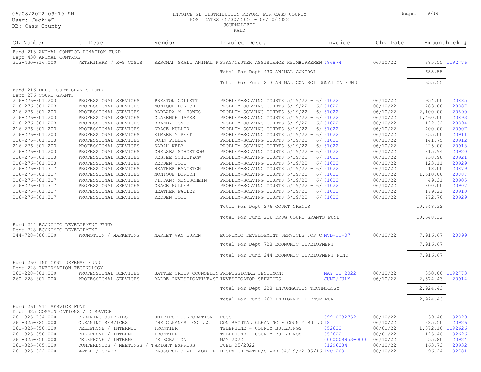#### User: Ja DB: Cass

06/08/2022 09:19 AM INVOICE GL DISTRIBUTION REPORT FOR CASS COUNTY Page: 9/14 POST DATES 05/30/2022 - 06/10/2022

| User: JackieT<br>DB: Cass County                         |                        |                     | POST DATES 05/30/2022 - 06/10/2022<br><b>JOURNALIZED</b><br>PAID   |          |              |                |
|----------------------------------------------------------|------------------------|---------------------|--------------------------------------------------------------------|----------|--------------|----------------|
| GL Number                                                | GL Desc                | Vendor              | Invoice Desc.<br>Invoice                                           | Chk Date | Amountheck # |                |
| Fund 213 ANIMAL CONTROL DONATION FUND                    |                        |                     |                                                                    |          |              |                |
| Dept 430 ANIMAL CONTROL<br>213-430-816.000               | VETERINARY / K-9 COSTS |                     | BERGMAN SMALL ANIMAL P SPAY/NEUTER ASSISTANCE REIMBURSEMEN' 486874 | 06/10/22 |              | 385.55 1192776 |
|                                                          |                        |                     |                                                                    |          |              |                |
|                                                          |                        |                     | Total For Dept 430 ANIMAL CONTROL                                  |          | 655.55       |                |
|                                                          |                        |                     | Total For Fund 213 ANIMAL CONTROL DONATION FUND                    |          | 655.55       |                |
| Fund 216 DRUG COURT GRANTS FUND<br>Dept 276 COURT GRANTS |                        |                     |                                                                    |          |              |                |
| 216-276-801.203                                          | PROFESSIONAL SERVICES  | PRESTON COLLETT     | PROBLEM-SOLVING COURTS $5/19/22 - 6/61022$                         | 06/10/22 | 954.00       | 20885          |
| 216-276-801.203                                          | PROFESSIONAL SERVICES  | MONIOUE DORTCH      | PROBLEM-SOLVING COURTS $5/19/22 - 6/61022$                         | 06/10/22 | 783.00       | 20887          |
| 216-276-801.203                                          | PROFESSIONAL SERVICES  | BARBARA M. HOWES    | PROBLEM-SOLVING COURTS $5/19/22 - 6/61022$                         | 06/10/22 | 2,100.00     | 20890          |
| 216-276-801.203                                          | PROFESSIONAL SERVICES  | CLARENCE JAMES      | PROBLEM-SOLVING COURTS $5/19/22 - 6/61022$                         | 06/10/22 | 1,460.00     | 20893          |
| 216-276-801.203                                          | PROFESSIONAL SERVICES  | BRANDY JONES        | PROBLEM-SOLVING COURTS $5/19/22 - 6/61022$                         | 06/10/22 | 122.32       | 20894          |
| 216-276-801.203                                          | PROFESSIONAL SERVICES  | <b>GRACE MULLER</b> | PROBLEM-SOLVING COURTS $5/19/22 - 6/61022$                         | 06/10/22 | 400.00       | 20907          |
| 216-276-801.203                                          | PROFESSIONAL SERVICES  | KIMBERLY PEET       | PROBLEM-SOLVING COURTS $5/19/22 - 6/61022$                         | 06/10/22 | 255.00       | 20911          |
| 216-276-801.203                                          | PROFESSIONAL SERVICES  | JOHN PILLOW         | PROBLEM-SOLVING COURTS $5/19/22 - 6/61022$                         | 06/10/22 | 141.75       | 20912          |
| 216-276-801.203                                          | PROFESSIONAL SERVICES  | SARAH WEBB          | PROBLEM-SOLVING COURTS $5/19/22 - 6/61022$                         | 06/10/22 | 225.00       | 20918          |
| 216-276-801.203                                          | PROFESSIONAL SERVICES  | CHELSEA SCHOETZOW   | PROBLEM-SOLVING COURTS $5/19/22 - 6/61022$                         | 06/10/22 | 815.94       | 20920          |
| 216-276-801.203                                          | PROFESSIONAL SERVICES  | JESSEE SCHOETZOW    | PROBLEM-SOLVING COURTS $5/19/22 - 6/61022$                         | 06/10/22 | 438.98       | 20921          |
| 216-276-801.203                                          | PROFESSIONAL SERVICES  | REDDEN TODD         | PROBLEM-SOLVING COURTS $5/19/22 - 6/61022$                         | 06/10/22 | 123.11       | 20929          |
| 216-276-801.317                                          | PROFESSIONAL SERVICES  | HEATHER BANGSTON    | PROBLEM-SOLVING COURTS $5/19/22 - 6/61022$                         | 06/10/22 | 18.00        | 20879          |
| 216-276-801.317                                          | PROFESSIONAL SERVICES  | MONIQUE DORTCH      | PROBLEM-SOLVING COURTS $5/19/22 - 6/61022$                         | 06/10/22 | 1,510.00     | 20887          |
| 216-276-801.317                                          | PROFESSIONAL SERVICES  | TIFFANY MONDSCHEIN  | PROBLEM-SOLVING COURTS $5/19/22 - 6/61022$                         | 06/10/22 | 49.31        | 20905          |
| 216-276-801.317                                          | PROFESSIONAL SERVICES  | <b>GRACE MULLER</b> | PROBLEM-SOLVING COURTS $5/19/22 - 6/61022$                         | 06/10/22 | 800.00       | 20907          |
| 216-276-801.317                                          | PROFESSIONAL SERVICES  | HEATHER PAULEY      | PROBLEM-SOLVING COURTS $5/19/22 - 6/61022$                         | 06/10/22 | 179.21       | 20910          |
| 216-276-801.317                                          | PROFESSIONAL SERVICES  | REDDEN TODD         | PROBLEM-SOLVING COURTS $5/19/22 - 6/61022$                         | 06/10/22 | 272.70       | 20929          |
|                                                          |                        |                     | Total For Dept 276 COURT GRANTS                                    |          | 10,648.32    |                |

#### Total For Fund 216 DRUG COURT GRANTS FUND 10,648.32 Fund 244 ECONOMIC DEVELOPMENT FUND Dept 728 ECONOMIC DEVELOPMENT

| 244-728-880.000                                                   | PROMOTION / MARKETING | MARKET VAN BUREN     | ECONOMIC DEVELOPMENT SERVICES FOR C.MVB-CC-07 |             | 06/10/22 | 7,916.67 | 20899          |
|-------------------------------------------------------------------|-----------------------|----------------------|-----------------------------------------------|-------------|----------|----------|----------------|
|                                                                   |                       |                      | Total For Dept 728 ECONOMIC DEVELOPMENT       |             |          | 7,916.67 |                |
|                                                                   |                       |                      | Total For Fund 244 ECONOMIC DEVELOPMENT FUND  |             |          | 7,916.67 |                |
| Fund 260 INDIGENT DEFENSE FUND<br>Dept 228 INFORMATION TECHNOLOGY |                       |                      |                                               |             |          |          |                |
| 260-228-801.000                                                   | PROFESSIONAL SERVICES |                      | BATTLE CREEK COUNSELIN PROFESSIONAL TESTIMONY | MAY 11 2022 | 06/10/22 |          | 350.00 1192773 |
| 260-228-801.000                                                   | PROFESSIONAL SERVICES |                      | RADDE INVESTIGATIVE&SE INVESTIGATOR SERVICES  | JUNE/JULY   | 06/10/22 | 2,574.43 | 20914          |
|                                                                   |                       |                      | Total For Dept 228 INFORMATION TECHNOLOGY     |             |          | 2,924.43 |                |
|                                                                   |                       |                      | Total For Fund 260 INDIGENT DEFENSE FUND      |             |          | 2,924.43 |                |
| Fund 261 911 SERVICE FUND                                         |                       |                      |                                               |             |          |          |                |
| Dept 325 COMMUNICATIONS / DISPATCH                                |                       |                      |                                               |             |          |          |                |
| 261-325-734.000                                                   | CLEANING SUPPLIES     | UNIFIRST CORPORATION | RUGS                                          | 099 0332752 | 06/10/22 |          | 39.48 1192829  |
| 261-325-825.000                                                   | CLEANING SERVICES     | THE CLEANEST CO LLC  | CONTRACUTAL CLEANING - COUNTY BUILD 18        |             | 06/10/22 | 285.50   | 20926          |

| ----------------      |                          |                        |                                                                    | .                        | 001 TUI 55 |                  | <u>33.10 1132023</u> |
|-----------------------|--------------------------|------------------------|--------------------------------------------------------------------|--------------------------|------------|------------------|----------------------|
| $261 - 325 - 825.000$ | CLEANING SERVICES        | THE CLEANEST CO LLC    | CONTRACUTAL CLEANING - COUNTY BUILD 18                             |                          | 06/10/22   | 285.50           | 20926                |
| 261-325-850.000       | TELEPHONE / INTERNET     | FRONTIER               | TELEPHONE - COUNTY BUILDINGS                                       | 052622                   | 06/01/22   | 1,072.10 1192626 |                      |
| 261-325-850.000       | TELEPHONE / INTERNET     | FRONTIER               | TELEPHONE - COUNTY BUILDINGS                                       | 052622                   | 06/01/22   |                  | 125.46 1192626       |
| $261 - 325 - 850.000$ | TELEPHONE / INTERNET     | TELEGRATION            | MAY 2022                                                           | 0000009953-0000 06/10/22 |            | 55.80            | 20924                |
| $261 - 325 - 865.000$ | CONFERENCES / MEETINGS / | <b>IWRIGHT EXPRESS</b> | FUEL 05/2022                                                       | 81296384                 | 06/10/22   | 163.73           | 20932                |
| 261-325-922.000       | WATER / SEWER            |                        | CASSOPOLIS VILLAGE TRE DISPATCH WATER/SEWER 04/19/22-05/16 1VC1209 |                          | 06/10/22   |                  | 96.24 1192781        |
|                       |                          |                        |                                                                    |                          |            |                  |                      |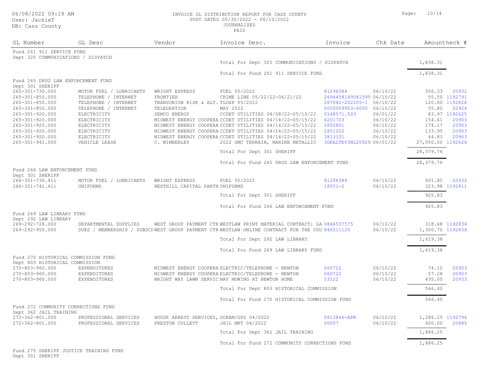#### DB: Cass County

06/08/2022 09:19 AM INVOICE GL DISTRIBUTION REPORT FOR CASS COUNTY Page: 10/14 POST DATES 05/30/2022 - 06/10/2022

JOURNALIZED

|      | JOURNALIZED<br>PATD |
|------|---------------------|
| ndor | Invoice De:         |
|      |                     |

| GL Number                                                       | GL Desc                 | Vendor                                   | Invoice Desc.                                                                                                                                                           | Invoice                   | Chk Date             |                   | Amountheck #   |
|-----------------------------------------------------------------|-------------------------|------------------------------------------|-------------------------------------------------------------------------------------------------------------------------------------------------------------------------|---------------------------|----------------------|-------------------|----------------|
| Fund 261 911 SERVICE FUND<br>Dept 325 COMMUNICATIONS / DISPATCH |                         |                                          |                                                                                                                                                                         |                           |                      |                   |                |
|                                                                 |                         |                                          | Total For Dept 325 COMMUNICATIONS / DISPATCH                                                                                                                            |                           |                      | 1,838.31          |                |
|                                                                 |                         |                                          | Total For Fund 261 911 SERVICE FUND                                                                                                                                     |                           |                      | 1,838.31          |                |
| Fund 265 DRUG LAW ENFORCEMENT FUND                              |                         |                                          |                                                                                                                                                                         |                           |                      |                   |                |
| Dept 301 SHERIFF<br>265-301-730.000                             | MOTOR FUEL / LUBRICANTS | WRIGHT EXPRESS                           | FUEL 05/2022                                                                                                                                                            | 81296384                  | 06/10/22             | 506.33            | 20932          |
| 265-301-850.000                                                 | TELEPHONE / INTERNET    | FRONTIER                                 | CRIME LINE 05/22/22-06/21/22                                                                                                                                            | 2694458149082395!06/10/22 |                      |                   | 55.50 1192791  |
| 265-301-850.000                                                 | TELEPHONE / INTERNET    | TRANSUNION RISK & ALT. TLOXP 05/2022     |                                                                                                                                                                         | 267082-202205-1 06/10/22  |                      |                   | 120.60 1192828 |
| 265-301-850.000                                                 | TELEPHONE / INTERNET    | TELEGRATION                              | MAY 2022                                                                                                                                                                | 0000009953-0000 06/10/22  |                      | 55.80             | 20924          |
| 265-301-920.000                                                 | ELECTRICITY             | SEMCO ENERGY                             | CCDET UTILITIES 04/08/22-05/10/22                                                                                                                                       | 0148571.503               | 06/01/22             |                   | 83.97 1192625  |
| 265-301-920.000                                                 | ELECTRICITY             |                                          | MIDWEST ENERGY COOPERA CCDET UTILITIES 04/14/22-05/15/22                                                                                                                | 4201703                   | 06/10/22             | 154.61            | 20903          |
| 265-301-920.000                                                 | ELECTRICITY             |                                          | MIDWEST ENERGY COOPERA CCDET UTILITIES 04/14/22-05/15/22 2850801                                                                                                        |                           | 06/10/22             | 174.17            | 20903          |
| 265-301-920.000                                                 | ELECTRICITY             |                                          | MIDWEST ENERGY COOPERA CCDET UTILITIES 04/14/22-05/15/22 2851202                                                                                                        |                           | 06/10/22             | 133.95            | 20903          |
| 265-301-920.000                                                 | ELECTRICITY             |                                          | MIDWEST ENERGY COOPERA CCDET UTILITIES 04/14/22-05/15/22                                                                                                                | 3813101                   | 06/10/22             | 44.83             | 20903          |
| 265-301-941.000                                                 | VEHICLE LEASE           | C. WIMBERLEY                             | 2022 GMC TERRAIN, MARINE METALLIC                                                                                                                                       | 3GKALTEV3NL20925(06/01/22 |                      | 27,050.00 1192624 |                |
|                                                                 |                         |                                          | Total For Dept 301 SHERIFF                                                                                                                                              |                           |                      | 28,379.76         |                |
|                                                                 |                         |                                          | Total For Fund 265 DRUG LAW ENFORCEMENT FUND                                                                                                                            |                           |                      | 28,379.76         |                |
| Fund 266 LAW ENFORCEMENT FUND                                   |                         |                                          |                                                                                                                                                                         |                           |                      |                   |                |
| Dept 301 SHERIFF                                                |                         |                                          |                                                                                                                                                                         |                           |                      |                   |                |
| 266-301-730.411                                                 | MOTOR FUEL / LUBRICANTS | WRIGHT EXPRESS                           | FUEL 05/2022                                                                                                                                                            | 81296384                  | 06/10/22             | 601.85            | 20932          |
| 266-301-741.411                                                 | UNIFORMS                | NEXTHILL CAPITAL PARTN UNIFORMS          |                                                                                                                                                                         | $18551 - 2$               | 06/10/22             |                   | 323.98 1192811 |
|                                                                 |                         |                                          | Total For Dept 301 SHERIFF                                                                                                                                              |                           |                      | 925.83            |                |
|                                                                 |                         |                                          | Total For Fund 266 LAW ENFORCEMENT FUND                                                                                                                                 |                           |                      | 925.83            |                |
| Fund 269 LAW LIBRARY FUND                                       |                         |                                          |                                                                                                                                                                         |                           |                      |                   |                |
| Dept 292 LAW LIBRARY                                            |                         |                                          |                                                                                                                                                                         |                           |                      |                   |                |
| 269-292-728.000<br>269-292-955.000                              | DEPARTMENTAL SUPPLIES   |                                          | WEST GROUP PAYMENT CTRWESTLAW PRINT MATERIAL CONTRACT: LAI0846537575<br>DUES / MEMBERSHIP / SUBSCF WEST GROUP PAYMENT CTR WESTLAW ONLINE CONTRACT FOR THE COU 846511125 |                           | 06/10/22<br>06/10/22 | 1,300.70 1192834  | 318.68 1192834 |
|                                                                 |                         |                                          | Total For Dept 292 LAW LIBRARY                                                                                                                                          |                           |                      | 1,619.38          |                |
|                                                                 |                         |                                          | Total For Fund 269 LAW LIBRARY FUND                                                                                                                                     |                           |                      | 1,619.38          |                |
| Fund 270 HISTORICAL COMMISSION FUND                             |                         |                                          |                                                                                                                                                                         |                           |                      |                   |                |
| Dept 803 HISTORICAL COMMISSION                                  |                         |                                          |                                                                                                                                                                         |                           |                      |                   |                |
| 270-803-960.000                                                 | EXPENDITURES            |                                          | MIDWEST ENERGY COOPERA ELECTRIC/TELEPHONE - NEWTON                                                                                                                      | 060722                    | 06/10/22             | 74.12             | 20903          |
| 270-803-960.000                                                 | EXPENDITURES            |                                          | MIDWEST ENERGY COOPERA ELECTRIC/TELEPHONE - NEWTON                                                                                                                      | 060722                    | 06/10/22             | 57.28             | 20903          |
| 270-803-960.000                                                 | <b>EXPENDITURES</b>     |                                          | WRIGHT WAY LAWN SERVIC MAY MOWING AT NEWTON HOME                                                                                                                        | 53122                     | 06/10/22             | 435.00            | 20933          |
|                                                                 |                         |                                          | Total For Dept 803 HISTORICAL COMMISSION                                                                                                                                |                           |                      | 566.40            |                |
|                                                                 |                         |                                          | Total For Fund 270 HISTORICAL COMMISSION FUND                                                                                                                           |                           |                      | 566.40            |                |
| Fund 272 COMMUNITY CORRECTIONS FUND                             |                         |                                          |                                                                                                                                                                         |                           |                      |                   |                |
| Dept 362 JAIL TRAINING                                          |                         |                                          |                                                                                                                                                                         |                           |                      |                   |                |
| 272-362-801.000                                                 | PROFESSIONAL SERVICES   | HOUSE ARREST SERVICES, SCRAM/GPS 04/2022 |                                                                                                                                                                         | 5813846-APR               | 06/10/22             | 1,286.25 1192796  |                |
| 272-362-801.000                                                 | PROFESSIONAL SERVICES   | PRESTON COLLETT                          | JAIL MRT 04/2022                                                                                                                                                        | 00007                     | 06/10/22             | 600.00            | 20885          |
|                                                                 |                         |                                          | Total For Dept 362 JAIL TRAINING                                                                                                                                        |                           |                      | 1,886.25          |                |
|                                                                 |                         |                                          | Total For Fund 272 COMMUNITY CORRECTIONS FUND                                                                                                                           |                           |                      | 1,886.25          |                |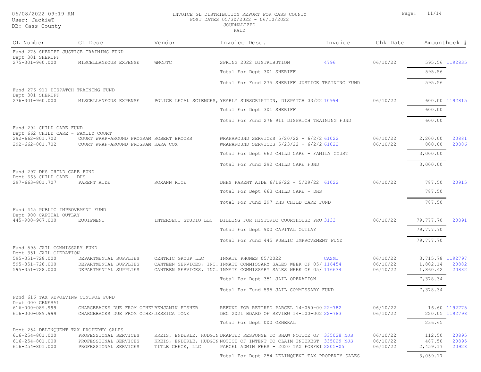#### 06/08/2022 09:19 AM **INVOICE GL DISTRIBUTION REPORT FOR CASS** POST DATES 05/30/2022 - 06/10/2022 JOURNALIZED

| 06/08/2022 09:19 AM<br>User: JackieT<br>DB: Cass County        |                                         | INVOICE GL DISTRIBUTION REPORT FOR CASS COUNTY<br>POST DATES 05/30/2022 - 06/10/2022<br><b>JOURNALIZED</b><br>PAID |                                                                  |         | 11/14<br>Page: |                   |  |
|----------------------------------------------------------------|-----------------------------------------|--------------------------------------------------------------------------------------------------------------------|------------------------------------------------------------------|---------|----------------|-------------------|--|
| GL Number                                                      | GL Desc                                 | Vendor                                                                                                             | Invoice Desc.                                                    | Invoice | Chk Date       | Amountheck #      |  |
| Fund 275 SHERIFF JUSTICE TRAINING FUND                         |                                         |                                                                                                                    |                                                                  |         |                |                   |  |
| Dept 301 SHERIFF<br>275-301-960.000                            | MISCELLANEOUS EXPENSE                   | WMCJTC                                                                                                             | SPRING 2022 DISTRIBUTION                                         | 4796    | 06/10/22       | 595.56 1192835    |  |
|                                                                |                                         |                                                                                                                    | Total For Dept 301 SHERIFF                                       |         |                | 595.56            |  |
|                                                                |                                         |                                                                                                                    | Total For Fund 275 SHERIFF JUSTICE TRAINING FUND                 |         |                | 595.56            |  |
| Fund 276 911 DISPATCH TRAINING FUND                            |                                         |                                                                                                                    |                                                                  |         |                |                   |  |
| Dept 301 SHERIFF<br>276-301-960.000                            | MISCELLANEOUS EXPENSE                   |                                                                                                                    | POLICE LEGAL SCIENCES, YEARLY SUBSCRIPTION, DISPATCH 03/22 10994 |         | 06/10/22       | 600.00 1192815    |  |
|                                                                |                                         |                                                                                                                    | Total For Dept 301 SHERIFF                                       |         |                | 600.00            |  |
|                                                                |                                         |                                                                                                                    | Total For Fund 276 911 DISPATCH TRAINING FUND                    |         |                | 600.00            |  |
| Fund 292 CHILD CARE FUND<br>Dept 662 CHILD CARE - FAMILY COURT |                                         |                                                                                                                    |                                                                  |         |                |                   |  |
| 292-662-801.702                                                | COURT WRAP-AROUND PROGRAM ROBERT BROOKS |                                                                                                                    | WRAPAROUND SERVICES $5/20/22 - 6/2/2.61022$                      |         | 06/10/22       | 2,200.00<br>20881 |  |
| 292-662-801.702                                                | COURT WRAP-AROUND PROGRAM KARA COX      |                                                                                                                    | WRAPAROUND SERVICES 5/23/22 - 6/2/2 61022                        |         | 06/10/22       | 20886<br>800.00   |  |
|                                                                |                                         |                                                                                                                    | Total For Dept 662 CHILD CARE - FAMILY COURT                     |         |                | 3,000.00          |  |
|                                                                |                                         |                                                                                                                    | Total For Fund 292 CHILD CARE FUND                               |         |                | 3,000.00          |  |
| Fund 297 DHS CHILD CARE FUND<br>Dept 663 CHILD CARE - DHS      |                                         |                                                                                                                    |                                                                  |         |                |                   |  |
| 297-663-801.707                                                | PARENT AIDE                             | ROXANN RICE                                                                                                        | DHHS PARENT AIDE 6/16/22 - 5/29/22 61022                         |         | 06/10/22       | 787.50<br>20915   |  |

| Dept 663 CHILD CARE - DHS                                   |                                            |                      |                                                                         |          |                  |                |
|-------------------------------------------------------------|--------------------------------------------|----------------------|-------------------------------------------------------------------------|----------|------------------|----------------|
| 297-663-801.707                                             | PARENT AIDE                                | ROXANN RICE          | DHHS PARENT AIDE 6/16/22 - 5/29/22 61022                                | 06/10/22 | 787.50           | 20915          |
|                                                             |                                            |                      | Total For Dept 663 CHILD CARE - DHS                                     |          | 787.50           |                |
|                                                             |                                            |                      | Total For Fund 297 DHS CHILD CARE FUND                                  |          | 787.50           |                |
| Fund 445 PUBLIC IMPROVEMENT FUND<br>Dept 900 CAPITAL OUTLAY |                                            |                      |                                                                         |          |                  |                |
| 445-900-967.000                                             | EOUIPMENT                                  | INTERSECT STUDIO LLC | BILLING FOR HISTORIC COURTHOUSE PRO 3133                                | 06/10/22 | 79,777.70        | 20891          |
|                                                             |                                            |                      | Total For Dept 900 CAPITAL OUTLAY                                       |          | 79,777.70        |                |
|                                                             |                                            |                      | Total For Fund 445 PUBLIC IMPROVEMENT FUND                              |          | 79,777.70        |                |
| Fund 595 JAIL COMMISSARY FUND<br>Dept 351 JAIL OPERATION    |                                            |                      |                                                                         |          |                  |                |
| 595-351-728.000                                             | DEPARTMENTAL SUPPLIES                      | CENTRIC GROUP LLC    | INMATE PHONES 05/2022<br>CASMI                                          | 06/10/22 | 3,715.78 1192797 |                |
| 595-351-728.000                                             | DEPARTMENTAL SUPPLIES                      |                      | CANTEEN SERVICES, INC. INMATE COMMISSARY SALES WEEK OF 05/ 116454       | 06/10/22 | 1,802.14         | 20882          |
| 595-351-728.000                                             | DEPARTMENTAL SUPPLIES                      |                      | CANTEEN SERVICES, INC. INMATE COMMISSARY SALES WEEK OF 05/116634        | 06/10/22 | 1,860.42         | 20882          |
|                                                             |                                            |                      | Total For Dept 351 JAIL OPERATION                                       |          | 7,378.34         |                |
|                                                             |                                            |                      | Total For Fund 595 JAIL COMMISSARY FUND                                 |          | 7,378.34         |                |
| Fund 616 TAX REVOLVING CONTROL FUND<br>Dept 000 GENERAL     |                                            |                      |                                                                         |          |                  |                |
| 616-000-089.999                                             | CHARGEBACKS DUE FROM OTHEF BENJAMIN FISHER |                      | REFUND FOR RETIRED PARCEL 14-050-00 22-782                              | 06/10/22 |                  | 16.60 1192775  |
| 616-000-089.999                                             | CHARGEBACKS DUE FROM OTHEF JESSICA TONE    |                      | DEC 2021 BOARD OF REVIEW 14-100-002 22-783                              | 06/10/22 |                  | 220.05 1192798 |
|                                                             |                                            |                      | Total For Dept 000 GENERAL                                              |          | 236.65           |                |
|                                                             | Dept 254 DELINQUENT TAX PROPERTY SALES     |                      |                                                                         |          |                  |                |
| 616-254-801.000                                             | PROFESSIONAL SERVICES                      |                      | 335028 NJS<br>KREIS, ENDERLE, HUDGIN DRAFTED RESPONSE TO SHAW NOTICE OF | 06/10/22 | 112.50           | 20895          |
| 616-254-801.000                                             | PROFESSIONAL SERVICES                      |                      | KREIS, ENDERLE, HUDGIN NOTICE OF INTENT TO CLAIM INTEREST 335029 NJS    | 06/10/22 | 487.50           | 20895          |
| 616-254-801.000                                             | PROFESSIONAL SERVICES                      | TITLE CHECK, LLC     | PARCEL ADMIN FEES - 2020 TAX FORFEI'2205-05                             | 06/10/22 | 2,459.17         | 20928          |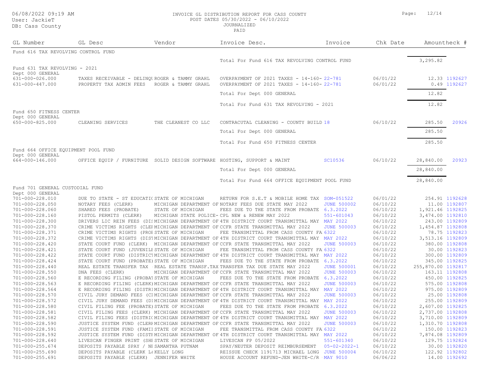#### DB: Cass County

#### 06/08/2022 09:19 AM INVOICE GL DISTRIBUTION REPORT FOR CASS COUNTY Page: 12/14 POST DATES 05/30/2022 - 06/10/2022 JOURNALIZED

PAID

GL Number GL Desc Vendor Invoice Desc. Invoice Chk Date AmountCheck #

| Fund 616 TAX REVOLVING CONTROL FUND               |                                                                          |                     |                                                                                                                                  |                      |                      |                    |                                  |
|---------------------------------------------------|--------------------------------------------------------------------------|---------------------|----------------------------------------------------------------------------------------------------------------------------------|----------------------|----------------------|--------------------|----------------------------------|
|                                                   |                                                                          |                     | Total For Fund 616 TAX REVOLVING CONTROL FUND                                                                                    |                      |                      | 3,295.82           |                                  |
| Fund 631 TAX REVOLVING - 2021<br>Dept 000 GENERAL |                                                                          |                     |                                                                                                                                  |                      |                      |                    |                                  |
| 631-000-026.000<br>631-000-447.000                | TAXES RECEIVABLE - DELINQUROGER & TAMMY GRAHL<br>PROPERTY TAX ADMIN FEES | ROGER & TAMMY GRAHL | OVERPAYMENT OF 2021 TAXES - 14-160-22-781<br>OVERPAYMENT OF 2021 TAXES - 14-160-22-781                                           |                      | 06/01/22<br>06/01/22 |                    | 12.33 1192627<br>0.49 1192627    |
|                                                   |                                                                          |                     | Total For Dept 000 GENERAL                                                                                                       |                      |                      | 12.82              |                                  |
|                                                   |                                                                          |                     | Total For Fund 631 TAX REVOLVING - 2021                                                                                          |                      |                      | 12.82              |                                  |
| Fund 650 FITNESS CENTER                           |                                                                          |                     |                                                                                                                                  |                      |                      |                    |                                  |
| Dept 000 GENERAL                                  |                                                                          |                     |                                                                                                                                  |                      |                      |                    |                                  |
| 650-000-825.000                                   | CLEANING SERVICES                                                        | THE CLEANEST CO LLC | CONTRACUTAL CLEANING - COUNTY BUILD 18                                                                                           |                      | 06/10/22             | 285.50             | 20926                            |
|                                                   |                                                                          |                     | Total For Dept 000 GENERAL                                                                                                       |                      |                      | 285.50             |                                  |
|                                                   |                                                                          |                     | Total For Fund 650 FITNESS CENTER                                                                                                |                      |                      | 285.50             |                                  |
| Fund 664 OFFICE EQUIPMENT POOL FUND               |                                                                          |                     |                                                                                                                                  |                      |                      |                    |                                  |
| Dept 000 GENERAL<br>664-000-146.000               |                                                                          |                     | OFFICE EQUIP / FURNITURE SOLID DESIGN SOFTWARE HOSTING, SUPPORT & MAINT                                                          | SC10536              | 06/10/22             | 28,840.00          | 20923                            |
|                                                   |                                                                          |                     | Total For Dept 000 GENERAL                                                                                                       |                      |                      | 28,840.00          |                                  |
|                                                   |                                                                          |                     | Total For Fund 664 OFFICE EQUIPMENT POOL FUND                                                                                    |                      |                      | 28,840.00          |                                  |
| Fund 701 GENERAL CUSTODIAL FUND                   |                                                                          |                     |                                                                                                                                  |                      |                      |                    |                                  |
| Dept 000 GENERAL                                  |                                                                          |                     |                                                                                                                                  |                      |                      |                    |                                  |
| 701-000-228.010                                   | DUE TO STATE - ST EDUCATI( STATE OF MICHIGAN                             |                     | RETURN FOR S.E.T & MOBILE HOME TAX SOM-051522                                                                                    | <b>JUNE 500002</b>   | 06/01/22             |                    | 254.91 1192628<br>11.00 1192807  |
| 701-000-228.050<br>701-000-228.060                | NOTARY FEES (CLERK)<br>SHARED FEES (PROBATE)                             | STATE OF MICHIGAN   | MICHIGAN DEPARTMENT OF NOTARY FEES DUE STATE MAY 2022<br>FEES DUE TO THE STATE FROM PROBATE (6.3.2022                            |                      | 06/10/22<br>06/10/22 | 1,921.46 1192825   |                                  |
| 701-000-228.160                                   | PISTOL PERMITS (CLERK)                                                   |                     | MICHIGAN STATE POLICE-CPL NEW & RENEW MAY 2022                                                                                   | 551-601043           | 06/10/22             | 3,474.00 1192810   |                                  |
| 701-000-228.300                                   |                                                                          |                     | DRIVERS LIC REIN FEES (DISMICHIGAN DEPARTMENT OF 4TH DISTRICT COURT TRANSMITTAL MAY MAY 2022                                     |                      | 06/10/22             |                    | 243.00 1192809                   |
|                                                   |                                                                          |                     | CRIME VICTIMS RIGHTS (CLEFMICHIGAN DEPARTMENT OF CCFR STATE TRANSMITTAL MAY 2022                                                 | <b>JUNE 500003</b>   |                      | 1,454.87 1192808   |                                  |
| 701-000-228.370<br>701-000-228.371                | CRIME VICTIMS RIGHTS (PROE STATE OF MICHIGAN                             |                     | FEE TRANSMITTAL FROM CASS COUNTY FAI 6322                                                                                        |                      | 06/10/22<br>06/10/22 |                    | 78.75 1192823                    |
| 701-000-228.372                                   |                                                                          |                     |                                                                                                                                  |                      |                      |                    |                                  |
|                                                   |                                                                          |                     | CRIME VICTIMS RIGHTS (DISTMICHIGAN DEPARTMENT OF 4TH DISTRICT COURT TRANSMITTAL MAY 1022                                         |                      | 06/10/22             | 3,513.16 1192809   |                                  |
| 701-000-228.420                                   |                                                                          |                     | STATE COURT FUND (CLERK) MICHIGAN DEPARTMENT OF CCFR STATE TRANSMITTAL MAY 2022                                                  | <b>JUNE 500003</b>   | 06/10/22             |                    | 380.00 1192808                   |
| 701-000-228.421                                   | STATE COURT FUND (JUVENILE STATE OF MICHIGAN                             |                     | FEE TRANSMITTAL FROM CASS COUNTY FAI 6322                                                                                        |                      | 06/10/22             |                    | 30.00 1192823                    |
| 701-000-228.422                                   | STATE COURT FUND (PROBATE) STATE OF MICHIGAN                             |                     | STATE COURT FUND (DISTRICIMICHIGAN DEPARTMENT OF 4TH DISTRICT COURT TRANSMITTAL MAY NAY 2022                                     |                      | 06/10/22             |                    | 300.00 1192809<br>345.00 1192825 |
| 701-000-228.424<br>701-000-228.440                |                                                                          |                     | FEES DUE TO THE STATE FROM PROBATE (6.3.2022<br>REAL ESTATE TRANSFER TAX (REAL ESTATE TRANSF.TAX TRANSFER TAX DUE STATE MAY 2022 | <b>JUNE 500001</b>   | 06/10/22<br>06/10/22 | 255,870.00 1192817 |                                  |
| 701-000-228.550                                   | DNA FEES (CLERK)                                                         |                     | MICHIGAN DEPARTMENT OF CCFR STATE TRANSMITTAL MAY 2022                                                                           | <b>JUNE 500003</b>   | 06/10/22             |                    | 163.11 1192808                   |
| 701-000-228.560                                   | E RECORDING FILING (PROBATSTATE OF MICHIGAN                              |                     | FEES DUE TO THE STATE FROM PROBATE (6.3.2022                                                                                     |                      | 06/10/22             |                    | 450.00 1192825                   |
| 701-000-228.563                                   |                                                                          |                     | E RECORDING FILING (CLERK) MICHIGAN DEPARTMENT OF CCFR STATE TRANSMITTAL MAY 2022                                                | <b>JUNE 500003</b>   | 06/10/22             |                    | 575.00 1192808                   |
| 701-000-228.564                                   |                                                                          |                     | E RECORDING FILING (DISTRIMICHIGAN DEPARTMENT OF 4TH DISTRICT COURT TRANSMITTAL MAY NAY 2022                                     |                      | 06/10/22             |                    | 975.00 1192809                   |
| 701-000-228.570                                   |                                                                          |                     | CIVIL JURY DEMAND FEES (CIMICHIGAN DEPARTMENT OF CCFR STATE TRANSMITTAL MAY 2022                                                 | <b>JUNE 500003</b>   | 06/10/22             |                    | 25.00 1192808                    |
| 701-000-228.572                                   |                                                                          |                     | CIVIL JURY DEMAND FEES (DIMICHIGAN DEPARTMENT OF 4TH DISTRICT COURT TRANSMITTAL MAY 1MAY 2022                                    |                      | 06/10/22             |                    | 255.00 1192809                   |
| 701-000-228.580                                   | CIVIL FILING FEE (PROBATE) STATE OF MICHIGAN                             |                     | FEES DUE TO THE STATE FROM PROBATE (6.3.2022                                                                                     |                      | 06/10/22             | 2,607.00 1192825   |                                  |
| 701-000-228.581                                   |                                                                          |                     | CIVIL FILING FEES (CLERK) MICHIGAN DEPARTMENT OF CCFR STATE TRANSMITTAL MAY 2022                                                 | <b>JUNE 500003</b>   | 06/10/22             | 2,737.00 1192808   |                                  |
| 701-000-228.582                                   |                                                                          |                     | CIVIL FILING FEES (DISTRICMICHIGAN DEPARTMENT OF 4TH DISTRICT COURT TRANSMITTAL MAY MAY 2022                                     |                      | 06/10/22             | 3,710.00 1192809   |                                  |
| 701-000-228.590                                   |                                                                          |                     |                                                                                                                                  |                      |                      |                    |                                  |
|                                                   |                                                                          |                     | JUSTICE SYSTEM FUND (CLERFMICHIGAN DEPARTMENT OF CCFR STATE TRANSMITTAL MAY 2022                                                 | <b>JUNE 500003</b>   | 06/10/22             | 1,310.70 1192808   |                                  |
| 701-000-228.591                                   | JUSTICE SYSTEM FUND (FAMILSTATE OF MICHIGAN                              |                     | FEE TRANSMITTAL FROM CASS COUNTY FAI 6322                                                                                        |                      | 06/10/22             | 7,874.08 1192809   | 150.00 1192823                   |
| 701-000-228.592                                   |                                                                          |                     | JUSTICE SYSTEM FUND (DISTFMICHIGAN DEPARTMENT OF 4TH DISTRICT COURT TRANSMITTAL MAY ANY 2022                                     |                      | 06/10/22             |                    |                                  |
| 701-000-228.640                                   | LIVESCAN FINGER PRINT (SHE STATE OF MICHIGAN                             |                     | LIVESCAN FP 05/2022                                                                                                              | 551-601340           | 06/10/22             |                    | 129.75 1192824                   |
| $701 - 000 - 255.674$                             | DEPOSITS PAYABLE SPAY / NE SAMANTHA PUTNAM                               |                     | SPAY/NEUTER DEPOSIT REIMBURSEMENT                                                                                                | $05 - 02 - 2022 - 1$ | 06/10/22             |                    | 30.00 1192820<br>122.92 1192802  |
| 701-000-255.690                                   | DEPOSITS PAYABLE (CLERK L&KELLY LONG                                     |                     | REISSUE CHECK 1191713 MICHAEL LONG JUNE 500004                                                                                   |                      | 06/10/22             |                    |                                  |
| 701-000-255.691                                   | DEPOSITS PAYABLE (CLERK) JENNIFER WHITE                                  |                     | HOUSE ACCOUNT REFUND-JEN WHITE-C/R (MAY 9010                                                                                     |                      | 06/06/22             |                    | 14.00 1192692                    |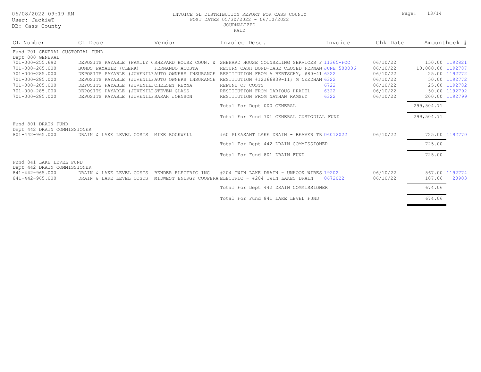DB: Cass County

#### 06/08/2022 09:19 AM INVOICE GL DISTRIBUTION REPORT FOR CASS COUNTY Page: 13/14 POST DATES 05/30/2022 - 06/10/2022 JOURNALIZED

| GL Number                                            | GL Desc                                  | Vendor                 | Invoice Desc.                                                                                 | Invoice | Chk Date |                   | Amountheck #   |
|------------------------------------------------------|------------------------------------------|------------------------|-----------------------------------------------------------------------------------------------|---------|----------|-------------------|----------------|
| Fund 701 GENERAL CUSTODIAL FUND                      |                                          |                        |                                                                                               |         |          |                   |                |
| Dept 000 GENERAL                                     |                                          |                        |                                                                                               |         |          |                   |                |
| 701-000-255.692                                      |                                          |                        | DEPOSITS PAYABLE (FAMILY (SHEPARD HOUSE COUN. & SHEPARD HOUSE COUNSELING SERVICES F(11365-FOC |         | 06/10/22 |                   | 150.00 1192821 |
| 701-000-265.000                                      | BONDS PAYABLE (CLERK)                    | FERNANDO ACOSTA        | RETURN CASH BOND-CASE CLOSED FERNAN JUNE 500006                                               |         | 06/10/22 | 10,000.00 1192787 |                |
| 701-000-285.000                                      |                                          |                        | DEPOSITS PAYABLE (JUVENILE AUTO OWNERS INSURANCE RESTITUTION FROM A BERTSCHY, #80-41 6322     |         | 06/10/22 |                   | 25.00 1192772  |
| 701-000-285.000                                      | DEPOSITS PAYABLE                         |                        | (JUVENILE AUTO OWNERS INSURANCE RESTITUTION #12J66839-11; M NEEDHAM 6322                      |         | 06/10/22 |                   | 50.00 1192772  |
| 701-000-285.000                                      | DEPOSITS PAYABLE (JUVENILE CHELSEY REYNA |                        | REFUND OF COSTS                                                                               | 6722    | 06/10/22 |                   | 25.00 1192782  |
| 701-000-285.000                                      | DEPOSITS PAYABLE                         | (JUVENILE STEVEN GLASS | RESTITUTION FROM DARIOUS HRADEL                                                               | 6322    | 06/10/22 |                   | 50.00 1192792  |
| 701-000-285.000                                      | DEPOSITS PAYABLE (JUVENILE SARAH JOHNSON |                        | RESTITUTION FROM NATHAN RAMSEY                                                                | 6322    | 06/10/22 |                   | 200.00 1192799 |
|                                                      |                                          |                        | Total For Dept 000 GENERAL                                                                    |         |          | 299,504.71        |                |
|                                                      |                                          |                        | Total For Fund 701 GENERAL CUSTODIAL FUND                                                     |         |          | 299,504.71        |                |
| Fund 801 DRAIN FUND                                  |                                          |                        |                                                                                               |         |          |                   |                |
| Dept 442 DRAIN COMMISSIONER<br>$801 - 442 - 965.000$ | DRAIN & LAKE LEVEL COSTS                 | MIKE ROCKWELL          | #60 PLEASANT LAKE DRAIN - BEAVER TR.06012022                                                  |         | 06/10/22 |                   | 725.00 1192770 |
|                                                      |                                          |                        |                                                                                               |         |          |                   |                |
|                                                      |                                          |                        | Total For Dept 442 DRAIN COMMISSIONER                                                         |         |          | 725.00            |                |
|                                                      |                                          |                        | Total For Fund 801 DRAIN FUND                                                                 |         |          | 725.00            |                |
| Fund 841 LAKE LEVEL FUND                             |                                          |                        |                                                                                               |         |          |                   |                |
| Dept 442 DRAIN COMMISSIONER<br>841-442-965.000       | DRAIN & LAKE LEVEL COSTS                 | BENDER ELECTRIC INC    | #204 TWIN LAKE DRAIN - UNHOOK WIRES 19202                                                     |         | 06/10/22 |                   | 567.00 1192774 |
| 841-442-965.000                                      |                                          |                        | MIDWEST ENERGY COOPERA ELECTRIC - #204 TWIN LAKES DRAIN                                       | 0672022 |          |                   | 20903          |
|                                                      | DRAIN & LAKE LEVEL COSTS                 |                        |                                                                                               |         | 06/10/22 | 107.06            |                |
|                                                      |                                          |                        | Total For Dept 442 DRAIN COMMISSIONER                                                         |         |          | 674.06            |                |
|                                                      |                                          |                        | Total For Fund 841 LAKE LEVEL FUND                                                            |         |          | 674.06            |                |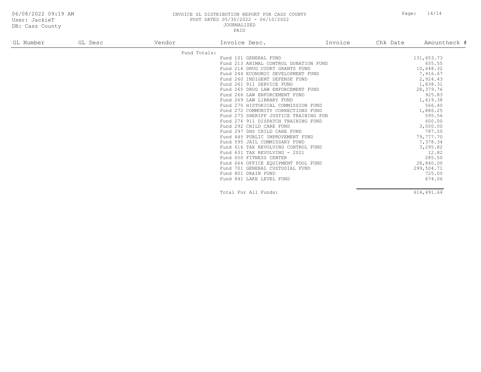DB: Cass County

#### 06/08/2022 09:19 AM INVOICE GL DISTRIBUTION REPORT FOR CASS COUNTY Page: 14/14 POST DATES 05/30/2022 - 06/10/2022 JOURNALIZED

PAID

| GL Number | GL Desc | Vendor | Invoice Desc.                         | Invoice | Chk Date | Amountheck # |
|-----------|---------|--------|---------------------------------------|---------|----------|--------------|
|           |         |        | Fund Totals:                          |         |          |              |
|           |         |        | Fund 101 GENERAL FUND                 |         |          | 131,653.73   |
|           |         |        | Fund 213 ANIMAL CONTROL DONATION FUND |         |          | 655.55       |
|           |         |        | Fund 216 DRUG COURT GRANTS FUND       |         |          | 10,648.32    |
|           |         |        | Fund 244 ECONOMIC DEVELOPMENT FUND    |         |          | 7,916.67     |
|           |         |        | Fund 260 INDIGENT DEFENSE FUND        |         |          | 2,924.43     |
|           |         |        | Fund 261 911 SERVICE FUND             |         |          | 1,838.31     |
|           |         |        | Fund 265 DRUG LAW ENFORCEMENT FUND    |         |          | 28,379.76    |
|           |         |        | Fund 266 LAW ENFORCEMENT FUND         |         |          | 925.83       |
|           |         |        | Fund 269 LAW LIBRARY FUND             |         |          | 1,619.38     |
|           |         |        | Fund 270 HISTORICAL COMMISSION FUND   |         |          | 566.40       |
|           |         |        | Fund 272 COMMUNITY CORRECTIONS FUND   |         |          | 1,886.25     |
|           |         |        | Fund 275 SHERIFF JUSTICE TRAINING FUN |         |          | 595.56       |
|           |         |        | Fund 276 911 DISPATCH TRAINING FUND   |         |          | 600.00       |
|           |         |        | Fund 292 CHILD CARE FUND              |         |          | 3,000.00     |
|           |         |        | Fund 297 DHS CHILD CARE FUND          |         |          | 787.50       |
|           |         |        | Fund 445 PUBLIC IMPROVEMENT FUND      |         |          | 79,777.70    |
|           |         |        | Fund 595 JAIL COMMISSARY FUND         |         |          | 7,378.34     |
|           |         |        | Fund 616 TAX REVOLVING CONTROL FUND   |         |          | 3,295.82     |
|           |         |        | Fund 631 TAX REVOLVING - 2021         |         |          | 12.82        |
|           |         |        | Fund 650 FITNESS CENTER               |         |          | 285.50       |
|           |         |        | Fund 664 OFFICE EQUIPMENT POOL FUND   |         |          | 28,840.00    |
|           |         |        | Fund 701 GENERAL CUSTODIAL FUND       |         |          | 299,504.71   |
|           |         |        | Fund 801 DRAIN FUND                   |         |          | 725.00       |
|           |         |        | Fund 841 LAKE LEVEL FUND              |         |          | 674.06       |
|           |         |        |                                       |         |          |              |

Total For All Funds: 614,491.64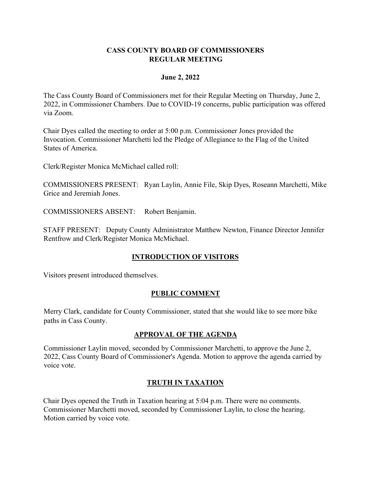#### **CASS COUNTY BOARD OF COMMISSIONERS REGULAR MEETING**

#### **June 2, 2022**

The Cass County Board of Commissioners met for their Regular Meeting on Thursday, June 2, 2022, in Commissioner Chambers. Due to COVID-19 concerns, public participation was offered via Zoom.

Chair Dyes called the meeting to order at 5:00 p.m. Commissioner Jones provided the Invocation. Commissioner Marchetti led the Pledge of Allegiance to the Flag of the United States of America.

Clerk/Register Monica McMichael called roll:

COMMISSIONERS PRESENT: Ryan Laylin, Annie File, Skip Dyes, Roseann Marchetti, Mike Grice and Jeremiah Jones.

COMMISSIONERS ABSENT: Robert Benjamin.

STAFF PRESENT: Deputy County Administrator Matthew Newton, Finance Director Jennifer Rentfrow and Clerk/Register Monica McMichael.

## **INTRODUCTION OF VISITORS**

Visitors present introduced themselves.

## **PUBLIC COMMENT**

Merry Clark, candidate for County Commissioner, stated that she would like to see more bike paths in Cass County.

## **APPROVAL OF THE AGENDA**

Commissioner Laylin moved, seconded by Commissioner Marchetti, to approve the June 2, 2022, Cass County Board of Commissioner's Agenda. Motion to approve the agenda carried by voice vote.

## **TRUTH IN TAXATION**

Chair Dyes opened the Truth in Taxation hearing at 5:04 p.m. There were no comments. Commissioner Marchetti moved, seconded by Commissioner Laylin, to close the hearing. Motion carried by voice vote.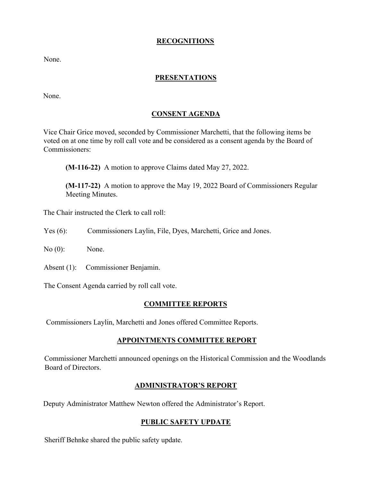## **RECOGNITIONS**

None.

## **PRESENTATIONS**

None.

## **CONSENT AGENDA**

Vice Chair Grice moved, seconded by Commissioner Marchetti, that the following items be voted on at one time by roll call vote and be considered as a consent agenda by the Board of Commissioners:

**(M-116-22)** A motion to approve Claims dated May 27, 2022.

**(M-117-22)** A motion to approve the May 19, 2022 Board of Commissioners Regular Meeting Minutes.

The Chair instructed the Clerk to call roll:

- Yes (6): Commissioners Laylin, File, Dyes, Marchetti, Grice and Jones.
- No (0): None.
- Absent (1): Commissioner Benjamin.

The Consent Agenda carried by roll call vote.

#### **COMMITTEE REPORTS**

Commissioners Laylin, Marchetti and Jones offered Committee Reports.

#### **APPOINTMENTS COMMITTEE REPORT**

Commissioner Marchetti announced openings on the Historical Commission and the Woodlands Board of Directors.

#### **ADMINISTRATOR'S REPORT**

Deputy Administrator Matthew Newton offered the Administrator's Report.

## **PUBLIC SAFETY UPDATE**

Sheriff Behnke shared the public safety update.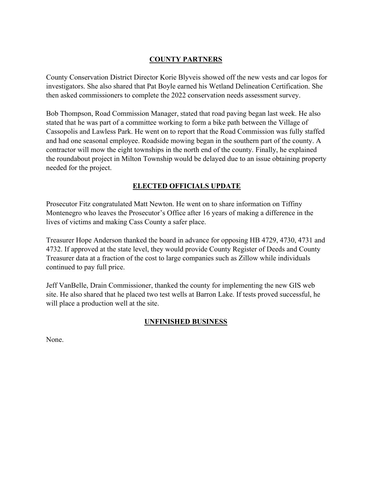## **COUNTY PARTNERS**

County Conservation District Director Korie Blyveis showed off the new vests and car logos for investigators. She also shared that Pat Boyle earned his Wetland Delineation Certification. She then asked commissioners to complete the 2022 conservation needs assessment survey.

Bob Thompson, Road Commission Manager, stated that road paving began last week. He also stated that he was part of a committee working to form a bike path between the Village of Cassopolis and Lawless Park. He went on to report that the Road Commission was fully staffed and had one seasonal employee. Roadside mowing began in the southern part of the county. A contractor will mow the eight townships in the north end of the county. Finally, he explained the roundabout project in Milton Township would be delayed due to an issue obtaining property needed for the project.

## **ELECTED OFFICIALS UPDATE**

Prosecutor Fitz congratulated Matt Newton. He went on to share information on Tiffiny Montenegro who leaves the Prosecutor's Office after 16 years of making a difference in the lives of victims and making Cass County a safer place.

Treasurer Hope Anderson thanked the board in advance for opposing HB 4729, 4730, 4731 and 4732. If approved at the state level, they would provide County Register of Deeds and County Treasurer data at a fraction of the cost to large companies such as Zillow while individuals continued to pay full price.

Jeff VanBelle, Drain Commissioner, thanked the county for implementing the new GIS web site. He also shared that he placed two test wells at Barron Lake. If tests proved successful, he will place a production well at the site.

## **UNFINISHED BUSINESS**

None.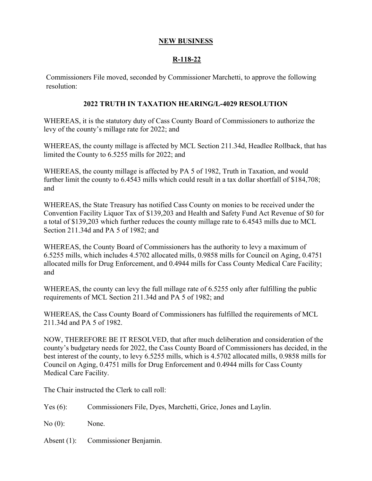#### **NEW BUSINESS**

## **R-118-22**

Commissioners File moved, seconded by Commissioner Marchetti, to approve the following resolution:

#### **2022 TRUTH IN TAXATION HEARING/L-4029 RESOLUTION**

WHEREAS, it is the statutory duty of Cass County Board of Commissioners to authorize the levy of the county's millage rate for 2022; and

WHEREAS, the county millage is affected by MCL Section 211.34d, Headlee Rollback, that has limited the County to 6.5255 mills for 2022; and

WHEREAS, the county millage is affected by PA 5 of 1982, Truth in Taxation, and would further limit the county to 6.4543 mills which could result in a tax dollar shortfall of \$184,708; and

WHEREAS, the State Treasury has notified Cass County on monies to be received under the Convention Facility Liquor Tax of \$139,203 and Health and Safety Fund Act Revenue of \$0 for a total of \$139,203 which further reduces the county millage rate to 6.4543 mills due to MCL Section 211.34d and PA 5 of 1982; and

WHEREAS, the County Board of Commissioners has the authority to levy a maximum of 6.5255 mills, which includes 4.5702 allocated mills, 0.9858 mills for Council on Aging, 0.4751 allocated mills for Drug Enforcement, and 0.4944 mills for Cass County Medical Care Facility; and

WHEREAS, the county can levy the full millage rate of 6.5255 only after fulfilling the public requirements of MCL Section 211.34d and PA 5 of 1982; and

WHEREAS, the Cass County Board of Commissioners has fulfilled the requirements of MCL 211.34d and PA 5 of 1982.

NOW, THEREFORE BE IT RESOLVED, that after much deliberation and consideration of the county's budgetary needs for 2022, the Cass County Board of Commissioners has decided, in the best interest of the county, to levy 6.5255 mills, which is 4.5702 allocated mills, 0.9858 mills for Council on Aging, 0.4751 mills for Drug Enforcement and 0.4944 mills for Cass County Medical Care Facility.

The Chair instructed the Clerk to call roll:

| Commissioners File, Dyes, Marchetti, Grice, Jones and Laylin. | Yes $(6)$ : |  |  |
|---------------------------------------------------------------|-------------|--|--|
|---------------------------------------------------------------|-------------|--|--|

No  $(0)$ : None.

Absent (1): Commissioner Benjamin.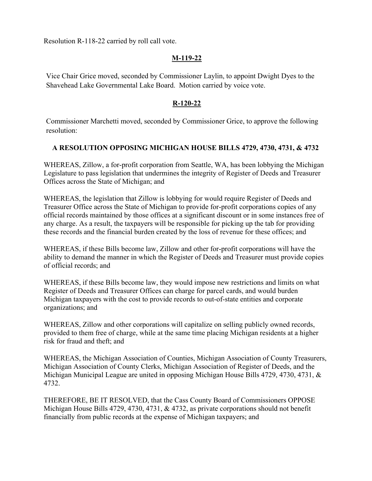Resolution R-118-22 carried by roll call vote.

## **M-119-22**

Vice Chair Grice moved, seconded by Commissioner Laylin, to appoint Dwight Dyes to the Shavehead Lake Governmental Lake Board. Motion carried by voice vote.

## **R-120-22**

Commissioner Marchetti moved, seconded by Commissioner Grice, to approve the following resolution:

## **A RESOLUTION OPPOSING MICHIGAN HOUSE BILLS 4729, 4730, 4731, & 4732**

WHEREAS, Zillow, a for-profit corporation from Seattle, WA, has been lobbying the Michigan Legislature to pass legislation that undermines the integrity of Register of Deeds and Treasurer Offices across the State of Michigan; and

WHEREAS, the legislation that Zillow is lobbying for would require Register of Deeds and Treasurer Office across the State of Michigan to provide for-profit corporations copies of any official records maintained by those offices at a significant discount or in some instances free of any charge. As a result, the taxpayers will be responsible for picking up the tab for providing these records and the financial burden created by the loss of revenue for these offices; and

WHEREAS, if these Bills become law, Zillow and other for-profit corporations will have the ability to demand the manner in which the Register of Deeds and Treasurer must provide copies of official records; and

WHEREAS, if these Bills become law, they would impose new restrictions and limits on what Register of Deeds and Treasurer Offices can charge for parcel cards, and would burden Michigan taxpayers with the cost to provide records to out-of-state entities and corporate organizations; and

WHEREAS, Zillow and other corporations will capitalize on selling publicly owned records, provided to them free of charge, while at the same time placing Michigan residents at a higher risk for fraud and theft; and

WHEREAS, the Michigan Association of Counties, Michigan Association of County Treasurers, Michigan Association of County Clerks, Michigan Association of Register of Deeds, and the Michigan Municipal League are united in opposing Michigan House Bills 4729, 4730, 4731, & 4732.

THEREFORE, BE IT RESOLVED, that the Cass County Board of Commissioners OPPOSE Michigan House Bills 4729, 4730, 4731, & 4732, as private corporations should not benefit financially from public records at the expense of Michigan taxpayers; and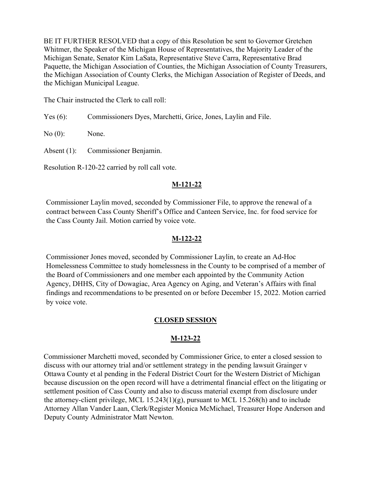BE IT FURTHER RESOLVED that a copy of this Resolution be sent to Governor Gretchen Whitmer, the Speaker of the Michigan House of Representatives, the Majority Leader of the Michigan Senate, Senator Kim LaSata, Representative Steve Carra, Representative Brad Paquette, the Michigan Association of Counties, the Michigan Association of County Treasurers, the Michigan Association of County Clerks, the Michigan Association of Register of Deeds, and the Michigan Municipal League.

The Chair instructed the Clerk to call roll:

Yes (6): Commissioners Dyes, Marchetti, Grice, Jones, Laylin and File.

No (0): None.

Absent (1): Commissioner Benjamin.

Resolution R-120-22 carried by roll call vote.

## **M-121-22**

Commissioner Laylin moved, seconded by Commissioner File, to approve the renewal of a contract between Cass County Sheriff's Office and Canteen Service, Inc. for food service for the Cass County Jail. Motion carried by voice vote.

#### **M-122-22**

Commissioner Jones moved, seconded by Commissioner Laylin, to create an Ad-Hoc Homelessness Committee to study homelessness in the County to be comprised of a member of the Board of Commissioners and one member each appointed by the Community Action Agency, DHHS, City of Dowagiac, Area Agency on Aging, and Veteran's Affairs with final findings and recommendations to be presented on or before December 15, 2022. Motion carried by voice vote.

## **CLOSED SESSION**

## **M-123-22**

Commissioner Marchetti moved, seconded by Commissioner Grice, to enter a closed session to discuss with our attorney trial and/or settlement strategy in the pending lawsuit Grainger v Ottawa County et al pending in the Federal District Court for the Western District of Michigan because discussion on the open record will have a detrimental financial effect on the litigating or settlement position of Cass County and also to discuss material exempt from disclosure under the attorney-client privilege, MCL 15.243(1)(g), pursuant to MCL 15.268(h) and to include Attorney Allan Vander Laan, Clerk/Register Monica McMichael, Treasurer Hope Anderson and Deputy County Administrator Matt Newton.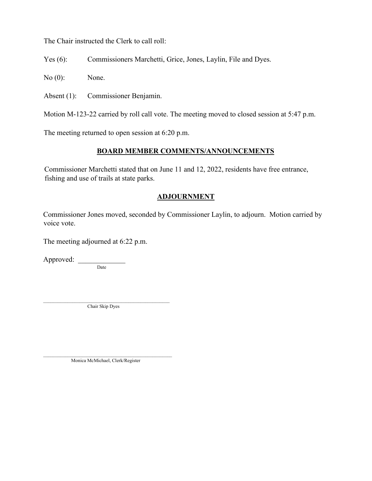The Chair instructed the Clerk to call roll:

Yes (6): Commissioners Marchetti, Grice, Jones, Laylin, File and Dyes.

No (0): None.

Absent (1): Commissioner Benjamin.

Motion M-123-22 carried by roll call vote. The meeting moved to closed session at 5:47 p.m.

The meeting returned to open session at 6:20 p.m.

## **BOARD MEMBER COMMENTS/ANNOUNCEMENTS**

Commissioner Marchetti stated that on June 11 and 12, 2022, residents have free entrance, fishing and use of trails at state parks.

## **ADJOURNMENT**

Commissioner Jones moved, seconded by Commissioner Laylin, to adjourn. Motion carried by voice vote.

The meeting adjourned at 6:22 p.m.

Approved: \_\_\_\_\_\_\_

**Date** 

Chair Skip Dyes

Monica McMichael, Clerk/Register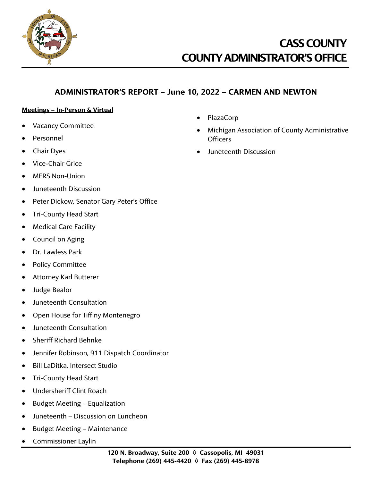

## **ADMINISTRATOR'S REPORT – June 10, 2022 – CARMEN AND NEWTON**

#### **Meetings – In-Person & Virtual**

- Vacancy Committee
- Personnel
- Chair Dyes
- Vice-Chair Grice
- MERS Non-Union
- Juneteenth Discussion
- Peter Dickow, Senator Gary Peter's Office
- Tri-County Head Start
- Medical Care Facility
- Council on Aging
- Dr. Lawless Park
- Policy Committee
- Attorney Karl Butterer
- Judge Bealor
- Juneteenth Consultation
- Open House for Tiffiny Montenegro
- Juneteenth Consultation
- Sheriff Richard Behnke
- Jennifer Robinson, 911 Dispatch Coordinator
- Bill LaDitka, Intersect Studio
- Tri-County Head Start
- Undersheriff Clint Roach
- Budget Meeting Equalization
- Juneteenth Discussion on Luncheon
- Budget Meeting Maintenance
- Commissioner Laylin
- PlazaCorp
- Michigan Association of County Administrative Officers
- Juneteenth Discussion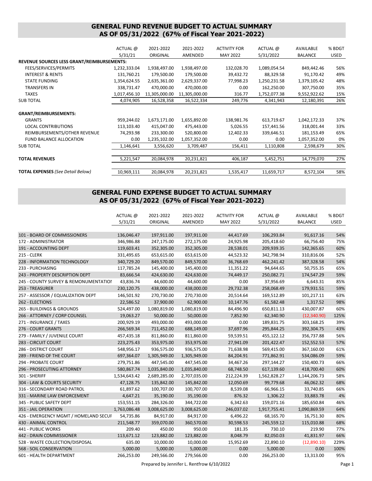#### **GENERAL FUND REVENUE BUDGET TO ACTUAL SUMMARY AS OF 05/31/2022 (67% of Fiscal Year 2021-2022)**

|                                            | ACTUAL @     | 2021-2022     | 2021-2022     | <b>ACTIVITY FOR</b> | ACTUAL @     | AVAILABLE      | % BDGT      |
|--------------------------------------------|--------------|---------------|---------------|---------------------|--------------|----------------|-------------|
|                                            | 5/31/21      | ORIGINAL      | AMENDED       | <b>MAY 2022</b>     | 5/31/2022    | <b>BALANCE</b> | <b>USED</b> |
| REVENUE SOURCES LESS GRANT/REIMBURSEMENTS: |              |               |               |                     |              |                |             |
| FEES/SERVICES/PERMITS                      | 1,232,333.04 | 1,938,497.00  | 1,938,497.00  | 132,028.70          | 1,089,054.54 | 849,442.46     | 56%         |
| <b>INTEREST &amp; RENTS</b>                | 131,760.21   | 179,500.00    | 179,500.00    | 39,432.72           | 88,329.58    | 91,170.42      | 49%         |
| <b>STATE FUNDING</b>                       | 1,354,624.55 | 2,635,361.00  | 2,629,337.00  | 77,998.23           | 1,250,231.58 | 1,379,105.42   | 48%         |
| TRANSFERS IN                               | 338,731.47   | 470,000.00    | 470,000.00    | 0.00                | 162,250.00   | 307,750.00     | 35%         |
| <b>TAXES</b>                               | 1,017,456.10 | 11,305,000.00 | 11,305,000.00 | 316.77              | 1,752,077.38 | 9,552,922.62   | 15%         |
| <b>SUB TOTAL</b>                           | 4,074,905    | 16,528,358    | 16,522,334    | 249,776             | 4,341,943    | 12,180,391     | 26%         |
| <b>GRANT/REIMBURSEMENTS:</b>               |              |               |               |                     |              |                |             |
| <b>GRANTS</b>                              | 959,244.02   | 1,673,171.00  | 1,655,892.00  | 138,981.76          | 613,719.67   | 1,042,172.33   | 37%         |
| <b>LOCAL CONTRIBUTIONS</b>                 | 113,103.40   | 415,047.00    | 475,443.00    | 5,026.55            | 157,441.56   | 318,001.44     | 33%         |
| REIMBURSEMENTS/OTHER REVENUE               | 74,293.98    | 233,300.00    | 520,800.00    | 12,402.33           | 339,646.51   | 181,153.49     | 65%         |
| <b>FUND BALANCE ALLOCATION</b>             | 0.00         | 1,235,102.00  | 1,057,352.00  | 0.00                | 0.00         | 1,057,352.00   | 0%          |
| <b>SUB TOTAL</b>                           | 1,146,641    | 3,556,620     | 3,709,487     | 156,411             | 1,110,808    | 2,598,679      | 30%         |
| <b>TOTAL REVENUES</b>                      | 5,221,547    | 20,084,978    | 20,231,821    | 406,187             | 5,452,751    | 14,779,070     | 27%         |
| <b>TOTAL EXPENSES</b> (See Detail Below)   | 10,969,111   | 20,084,978    | 20,231,821    | 1,535,417           | 11,659,717   | 8,572,104      | 58%         |

#### **GENERAL FUND EXPENSE BUDGET TO ACTUAL SUMMARY AS OF 05/31/2022 (67% of Fiscal Year 2021-2022)**

|                                       | ACTUAL @     | 2021-2022    | 2021-2022    | <b>ACTIVITY FOR</b> | ACTUAL @     | AVAILABLE      | % BDGT      |
|---------------------------------------|--------------|--------------|--------------|---------------------|--------------|----------------|-------------|
|                                       | 5/31/21      | ORIGINAL     | AMENDED      | <b>MAY 2022</b>     | 5/31/2022    | <b>BALANCE</b> | <b>USED</b> |
|                                       |              |              |              |                     |              |                |             |
| 101 - BOARD OF COMMISSIONERS          | 136,046.47   | 197,911.00   | 197,911.00   | 44,417.69           | 106,293.84   | 91,617.16      | 54%         |
| 172 - ADMINISTRATOR                   | 346,986.88   | 247,175.00   | 272,175.00   | 24,925.98           | 205,418.60   | 66,756.40      | 75%         |
| 191 - ACCOUNTING DEPT                 | 119,603.41   | 352,305.00   | 352,305.00   | 28,538.01           | 209,939.35   | 142,365.65     | 60%         |
| <b>215 - CLERK</b>                    | 331,495.65   | 653,615.00   | 653,615.00   | 44,523.32           | 342,798.94   | 310,816.06     | 52%         |
| 228 - INFORMATION TECHNOLOGY          | 340,729.20   | 849,570.00   | 849,570.00   | 36,768.69           | 462,241.42   | 387,328.58     | 54%         |
| 233 - PURCHASING                      | 117,785.24   | 145,400.00   | 145,400.00   | 11,351.22           | 94,644.65    | 50,755.35      | 65%         |
| 243 - PROPERTY DESCRIPTION DEPT       | 83,666.54    | 424,630.00   | 424,630.00   | 74,449.17           | 250,082.71   | 174,547.29     | 59%         |
| 245 - COUNTY SURVEY & REMONUMENTATIOI | 43,836.74    | 44,600.00    | 44,600.00    | 0.00                | 37,956.69    | 6,643.31       | 85%         |
| 253 - TREASURER                       | 230,120.75   | 438,000.00   | 438,000.00   | 29,732.38           | 258,068.49   | 179,931.51     | 59%         |
| 257 - ASSESSOR / EQUALIZATION DEPT    | 146,501.92   | 270,730.00   | 270,730.00   | 20,514.64           | 169,512.89   | 101,217.11     | 63%         |
| 262 - ELECTIONS                       | 22,586.52    | 37,900.00    | 62,900.00    | 10,147.76           | 61,582.48    | 1,317.52       | 98%         |
| 265 - BUILDINGS & GROUNDS             | 524,497.00   | 1,080,819.00 | 1,080,819.00 | 84,496.90           | 650,811.13   | 430,007.87     | 60%         |
| 266 - ATTORNEY / CORP COUNSEL         | 19,063.27    | 50,000.00    | 50,000.00    | 7,852.90            | 62,340.90    | (12,340.90)    | 125%        |
| 271 - INSURANCE / TAXES               | 200,929.19   | 493,000.00   | 493,000.00   | 0.00                | 189,831.75   | 303,168.25     | 39%         |
| 276 - COURT GRANTS                    | 266,569.34   | 711,452.00   | 688,149.00   | 37,697.96           | 295,844.25   | 392,304.75     | 43%         |
| 279 - FAMILY / JUVENILE COURT         | 457,435.18   | 811,860.00   | 811,860.00   | 59,539.51           | 455,122.12   | 356,737.88     | 56%         |
| 283 - CIRCUIT COURT                   | 223, 275. 43 | 353,975.00   | 353,975.00   | 27,941.09           | 201,422.47   | 152,552.53     | 57%         |
| 286 - DISTRICT COURT                  | 548,956.17   | 936,575.00   | 936,575.00   | 71,638.98           | 569,415.00   | 367,160.00     | 61%         |
| 289 - FRIEND OF THE COURT             | 697,364.07   | 1,305,949.00 | 1,305,949.00 | 84,204.91           | 771,862.91   | 534,086.09     | 59%         |
| 294 - PROBATE COURT                   | 279,751.86   | 447,545.00   | 447,545.00   | 34,467.26           | 297,144.27   | 150,400.73     | 66%         |
| 296 - PROSECUTING ATTORNEY            | 580,867.74   | 1,035,840.00 | 1,035,840.00 | 68,748.50           | 617,139.60   | 418,700.40     | 60%         |
| 301 - SHERIFF                         | 1,534,643.42 | 2,689,285.00 | 2,707,035.00 | 212,224.39          | 1,562,828.27 | 1,144,206.73   | 58%         |
| 304 - LAW & COURTS SECURITY           | 47,128.75    | 135,842.00   | 145,842.00   | 12,050.69           | 99,779.68    | 46,062.32      | 68%         |
| 316 - SECONDARY ROAD PATROL           | 61,897.62    | 100,707.00   | 100,707.00   | 8,539.08            | 66,966.15    | 33,740.85      | 66%         |
| 331 - MARINE LAW ENFORCEMENT          | 4,647.21     | 35,190.00    | 35,190.00    | 876.32              | 1,306.22     | 33,883.78      | 4%          |
| 345 - PUBLIC SAFETY DEPT              | 153,551.15   | 284,326.00   | 344,722.00   | 6,342.63            | 159,071.16   | 185,650.84     | 46%         |
| 351 - JAIL OPERATION                  | 1,763,086.48 | 3,008,625.00 | 3,008,625.00 | 246,037.02          | 1,917,755.41 | 1,090,869.59   | 64%         |
| 426 - EMERGENCY MGMT / HOMELAND SECUI | 54,735.86    | 84,917.00    | 84,917.00    | 6,496.22            | 68,165.70    | 16,751.30      | 80%         |
| 430 - ANIMAL CONTROL                  | 211,548.77   | 359,070.00   | 360,570.00   | 30,598.53           | 245,559.12   | 115,010.88     | 68%         |
| 441 - PUBLIC WORKS                    | 209.40       | 450.00       | 950.00       | 181.35              | 730.10       | 219.90         | 77%         |
| 442 - DRAIN COMMISSIONER              | 113,671.12   | 123,882.00   | 123,882.00   | 8,048.79            | 82,050.03    | 41,831.97      | 66%         |
| 528 - WASTE COLLECTION/DISPOSAL       | 635.00       | 10,000.00    | 10,000.00    | 15,952.69           | 22,890.10    | (12,890.10)    | 229%        |
| 568 - SOIL CONSERVATION               | 5,000.00     | 5,000.00     | 5,000.00     | 0.00                | 5,000.00     | 0.00           | 100%        |
| 601 - HEALTH DEPARTMENT               | 266,253.00   | 249,566.00   | 279,566.00   | 0.00                | 266,253.00   | 13,313.00      | 95%         |

Prepared by Jennifer L. Rentfrow 6/10/2022 Page 1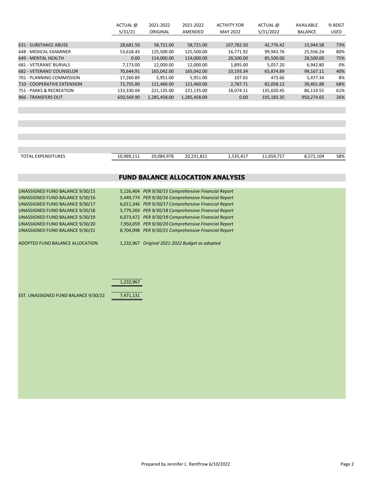| ACTUAL @   | 2021-2022    | 2021-2022    | <b>ACTIVITY FOR</b> | ACTUAL @   | AVAILABLE      | % BDGT      |
|------------|--------------|--------------|---------------------|------------|----------------|-------------|
| 5/31/21    | ORIGINAL     | AMENDED      | MAY 2022            | 5/31/2022  | <b>BALANCE</b> | <b>USED</b> |
|            |              |              |                     |            |                |             |
| 28,681.50  | 58,721.00    | 58,721.00    | 107,782.50          | 42,776.42  | 15,944.58      | 73%         |
| 53,618.43  | 125,500.00   | 125,500.00   | 16.771.92           | 99.943.76  | 25.556.24      | 80%         |
| 0.00       | 114,000.00   | 114,000.00   | 28,500.00           | 85,500.00  | 28,500.00      | 75%         |
| 7.173.00   | 12.000.00    | 12.000.00    | 1.895.00            | 5.057.20   | 6.942.80       | 0%          |
| 70.644.91  | 165,042.00   | 165,042.00   | 10,193.34           | 65,874.89  | 99,167.11      | 40%         |
| 17,260.89  | 5,951.00     | 5,951.00     | 107.65              | 473.66     | 5.477.34       | 8%          |
| 72,755.80  | 121,460.00   | 121,460.00   | 2.787.71            | 82,058.12  | 39,401.88      | 68%         |
| 133.330.04 | 221,135.00   | 221.135.00   | 18.074.11           | 135.020.45 | 86.114.55      | 61%         |
| 650.569.90 | 1,285,458.00 | 1,285,458.00 | 0.00                | 335,183.35 | 950,274.65     | 26%         |
|            |              |              |                     |            |                |             |

| <b>TOTAL EXPENDITURES</b> | 10.969.111 | 20.084.978 | 20.231.821 | EDE.<br>1.535.417 | $-1$<br>11.659.717 | $\sim$<br>6,572,104 | 58% |
|---------------------------|------------|------------|------------|-------------------|--------------------|---------------------|-----|

#### **FUND BALANCE ALLOCATION ANALYSIS**

| UNASSIGNED FUND BALANCE 9/30/15<br>UNASSIGNED FUND BALANCE 9/30/16<br>UNASSIGNED FUND BALANCE 9/30/17<br>UNASSIGNED FUND BALANCE 9/30/18<br>UNASSIGNED FUND BALANCE 9/30/19<br>UNASSIGNED FUND BALANCE 9/30/20<br>UNASSIGNED FUND BALANCE 9/30/21 |           | 5,126,404 PER 9/30/15 Comprehensive Financial Report<br>5,449,774 PER 9/30/16 Comprehensive Financial Report<br>6,011,346 PER 9/30/17 Comprehensive Financial Report<br>5,779,269 PER 9/30/18 Comprehensive Financial Report<br>6,073,472 PER 9/30/19 Comprehensive Financial Report<br>7,950,059 PER 9/30/20 Comprehensive Financial Report<br>8,704,098 PER 9/30/21 Comprehensive Financial Report |  |
|---------------------------------------------------------------------------------------------------------------------------------------------------------------------------------------------------------------------------------------------------|-----------|------------------------------------------------------------------------------------------------------------------------------------------------------------------------------------------------------------------------------------------------------------------------------------------------------------------------------------------------------------------------------------------------------|--|
| ADOPTED FUND BALANCE ALLOCATION                                                                                                                                                                                                                   | 1,232,967 | 1,232,967 Original 2021-2022 Budget as adopted                                                                                                                                                                                                                                                                                                                                                       |  |
| EST. UNASSIGNED FUND BALANCE 9/30/22                                                                                                                                                                                                              | 7,471,131 |                                                                                                                                                                                                                                                                                                                                                                                                      |  |
|                                                                                                                                                                                                                                                   |           |                                                                                                                                                                                                                                                                                                                                                                                                      |  |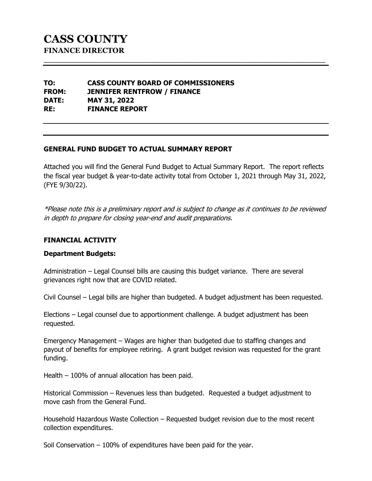**TO: CASS COUNTY BOARD OF COMMISSIONERS FROM: JENNIFER RENTFROW / FINANCE DATE: MAY 31, 2022 RE: FINANCE REPORT**

## **GENERAL FUND BUDGET TO ACTUAL SUMMARY REPORT**

Attached you will find the General Fund Budget to Actual Summary Report. The report reflects the fiscal year budget & year-to-date activity total from October 1, 2021 through May 31, 2022, (FYE 9/30/22).

**\_\_\_\_\_\_\_\_\_\_\_\_\_\_\_\_\_\_\_\_\_\_\_\_\_\_\_\_\_\_\_\_\_\_\_\_\_\_\_\_\_\_\_\_\_\_\_\_\_\_\_\_\_\_\_**

\*Please note this is a preliminary report and is subject to change as it continues to be reviewed in depth to prepare for closing year-end and audit preparations.

#### **FINANCIAL ACTIVITY**

#### **Department Budgets:**

Administration – Legal Counsel bills are causing this budget variance. There are several grievances right now that are COVID related.

Civil Counsel – Legal bills are higher than budgeted. A budget adjustment has been requested.

Elections – Legal counsel due to apportionment challenge. A budget adjustment has been requested.

Emergency Management – Wages are higher than budgeted due to staffing changes and payout of benefits for employee retiring. A grant budget revision was requested for the grant funding.

Health – 100% of annual allocation has been paid.

Historical Commission – Revenues less than budgeted. Requested a budget adjustment to move cash from the General Fund.

Household Hazardous Waste Collection – Requested budget revision due to the most recent collection expenditures.

Soil Conservation – 100% of expenditures have been paid for the year.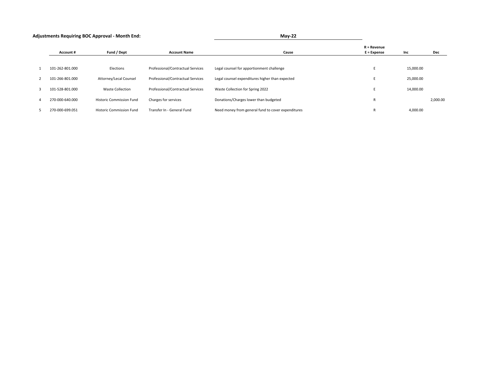| <b>Adjustments Requiring BOC Approval - Month End:</b> | <b>Mav-22</b> |
|--------------------------------------------------------|---------------|
|                                                        |               |

|                 |                                 |                                   |                                                    | R = Revenue   |           |          |
|-----------------|---------------------------------|-----------------------------------|----------------------------------------------------|---------------|-----------|----------|
| Account #       | Fund / Dept                     | <b>Account Name</b>               | Cause                                              | $E =$ Expense | Inc       | Dec      |
| 101-262-801.000 | Elections                       | Professional/Contractual Services | Legal counsel for apportionment challenge          |               | 15,000.00 |          |
| 101-266-801.000 | Attorney/Lecal Counsel          | Professional/Contractual Services | Legal counsel expenditures higher than expected    |               | 25,000.00 |          |
| 101-528-801.000 | <b>Waste Collection</b>         | Professional/Contractual Services | Waste Collection for Spring 2022                   |               | 14,000.00 |          |
| 270-000-640.000 | <b>Historic Commission Fund</b> | Charges for services              | Donations/Charges lower than budgeted              | D<br>n        |           | 2,000.00 |
| 270-000-699.051 | <b>Historic Commission Fund</b> | Transfer In - General Fund        | Need money from general fund to cover expenditures | r<br>Đ        | 4,000.00  |          |